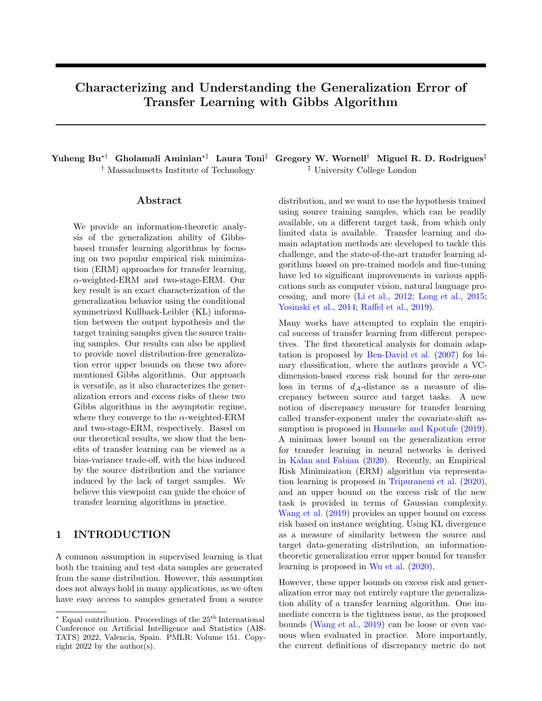# Characterizing and Understanding the Generalization Error of Transfer Learning with Gibbs Algorithm

<sup> $\dagger$ </sup> Massachusetts Institute of Technology  $\qquadqquad \qquad$ <sup> $\ddagger$ </sup> University College London

#### ${\rm Abstract}$

We provide an information-theoretic analysis of the generalization ability of Gibbsbased transfer learning algorithms by focusing on two popular empirical risk minimization (ERM) approaches for transfer learning,  $\alpha$ -weighted-ERM and two-stage-ERM. Our key result is an exact characterization of the generalization behavior using the conditional symmetrized Kullback-Leibler (KL) information between the output hypothesis and the target training samples given the source training samples. Our results can also be applied to provide novel distribution-free generalization error upper bounds on these two aforementioned Gibbs algorithms. Our approach is versatile, as it also characterizes the generalization errors and excess risks of these two Gibbs algorithms in the asymptotic regime, where they converge to the  $\alpha$ -weighted-ERM and two-stage-ERM, respectively. Based on our theoretical results, we show that the benefits of transfer learning can be viewed as a bias-variance trade-off, with the bias induced by the source distribution and the variance induced by the lack of target samples. We believe this viewpoint can guide the choice of transfer learning algorithms in practice.

# 1 INTRODUCTION

A common assumption in supervised learning is that both the training and test data samples are generated from the same distribution. However, this assumption does not always hold in many applications, as we often have easy access to samples generated from a source

Yuheng Bu<sup>\*†</sup> Gholamali Aminian<sup>\*†</sup> Laura Toni<sup>†</sup> Gregory W. Wornell<sup>†</sup> Miguel R. D. Rodrigues<sup>‡</sup>

distribution, and we want to use the hypothesis trained using source training samples, which can be readily available, on a different target task, from which only limited data is available. Transfer learning and domain adaptation methods are developed to tackle this challenge, and the state-of-the-art transfer learning algorithms based on pre-trained models and fine-tuning have led to significant improvements in various applications such as computer vision, natural language processing, and more [\(Li et al.](#page-9-0), [2012;](#page-9-0) [Long et al.](#page-9-1), [2015;](#page-9-1) [Yosinski et al.,](#page-10-0) [2014;](#page-10-0) [Raffel et al.,](#page-10-1) [2019\)](#page-10-1).

Many works have attempted to explain the empirical success of transfer learning from different perspectives. The first theoretical analysis for domain adaptation is proposed by [Ben-David et al.](#page-9-2) [\(2007\)](#page-9-2) for binary classification, where the authors provide a VCdimension-based excess risk bound for the zero-one loss in terms of  $d_{\mathcal{A}}$ -distance as a measure of discrepancy between source and target tasks. A new notion of discrepancy measure for transfer learning called transfer-exponent under the covariate-shift assumption is proposed in [Hanneke and Kpotufe](#page-9-3) [\(2019](#page-9-3)). A minimax lower bound on the generalization error for transfer learning in neural networks is derived in [Kalan and Fabian](#page-9-4) [\(2020\)](#page-9-4). Recently, an Empirical Risk Minimization (ERM) algorithm via representation learning is proposed in [Tripuraneni et al.](#page-10-2) [\(2020\)](#page-10-2), and an upper bound on the excess risk of the new task is provided in terms of Gaussian complexity. [Wang et al.](#page-10-3) [\(2019\)](#page-10-3) provides an upper bound on excess risk based on instance weighting. Using KL divergence as a measure of similarity between the source and target data-generating distribution, an informationtheoretic generalization error upper bound for transfer learning is proposed in [Wu et al.](#page-10-4) [\(2020\)](#page-10-4).

However, these upper bounds on excess risk and generalization error may not entirely capture the generalization ability of a transfer learning algorithm. One immediate concern is the tightness issue, as the proposed bounds [\(Wang et al.](#page-10-3), [2019](#page-10-3)) can be loose or even vacuous when evaluated in practice. More importantly, the current definitions of discrepancy metric do not

 $^\star$  Equal contribution. Proceedings of the  $25^{\mathrm{th}}$  International Conference on Artificial Intelligence and Statistics (AIS-TATS) 2022, Valencia, Spain. PMLR: Volume 151. Copyright 2022 by the author(s).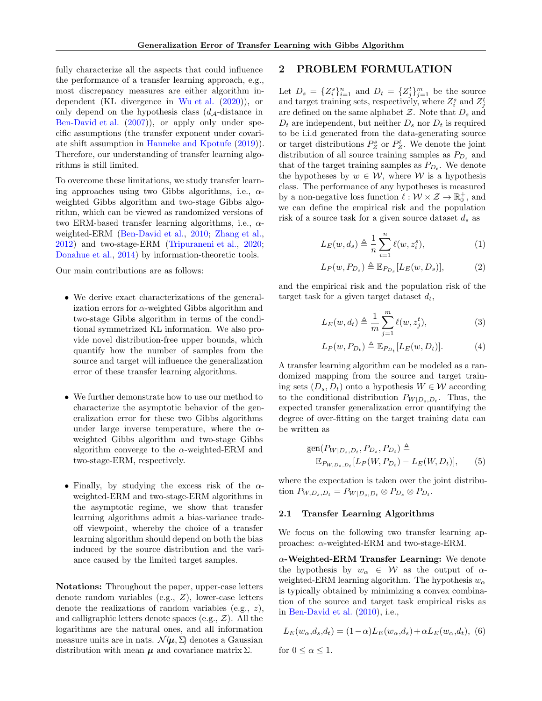fully characterize all the aspects that could influence the performance of a transfer learning approach, e.g., most discrepancy measures are either algorithm in-dependent (KL divergence in [Wu et al.](#page-10-4)  $(2020)$ ), or only depend on the hypothesis class  $(d_{\mathcal{A}}-distance$  in [Ben-David et al.](#page-9-2) [\(2007](#page-9-2))), or apply only under specific assumptions (the transfer exponent under covariate shift assumption in [Hanneke and Kpotufe](#page-9-3) [\(2019](#page-9-3))). Therefore, our understanding of transfer learning algorithms is still limited.

To overcome these limitations, we study transfer learning approaches using two Gibbs algorithms, i.e.,  $\alpha$ weighted Gibbs algorithm and two-stage Gibbs algorithm, which can be viewed as randomized versions of two ERM-based transfer learning algorithms, i.e.,  $\alpha$ weighted-ERM [\(Ben-David et al.,](#page-9-5) [2010](#page-9-5); [Zhang et al.,](#page-10-5) [2012\)](#page-10-5) and two-stage-ERM [\(Tripuraneni et al.](#page-10-2), [2020;](#page-10-2) [Donahue et al.,](#page-9-6) [2014\)](#page-9-6) by information-theoretic tools.

Our main contributions are as follows:

- We derive exact characterizations of the generalization errors for  $\alpha$ -weighted Gibbs algorithm and two-stage Gibbs algorithm in terms of the conditional symmetrized KL information. We also provide novel distribution-free upper bounds, which quantify how the number of samples from the source and target will influence the generalization error of these transfer learning algorithms.
- We further demonstrate how to use our method to characterize the asymptotic behavior of the generalization error for these two Gibbs algorithms under large inverse temperature, where the  $\alpha$ weighted Gibbs algorithm and two-stage Gibbs algorithm converge to the  $\alpha$ -weighted-ERM and two-stage-ERM, respectively.
- Finally, by studying the excess risk of the  $\alpha$ weighted-ERM and two-stage-ERM algorithms in the asymptotic regime, we show that transfer learning algorithms admit a bias-variance tradeoff viewpoint, whereby the choice of a transfer learning algorithm should depend on both the bias induced by the source distribution and the variance caused by the limited target samples.

Notations: Throughout the paper, upper-case letters denote random variables (e.g., Z), lower-case letters denote the realizations of random variables (e.g., z), and calligraphic letters denote spaces (e.g.,  $\mathcal{Z}$ ). All the logarithms are the natural ones, and all information measure units are in nats.  $\mathcal{N}(\mu, \Sigma)$  denotes a Gaussian distribution with mean  $\mu$  and covariance matrix  $\Sigma$ .

# 2 PROBLEM FORMULATION

Let  $D_s = \{Z_i^s\}_{i=1}^n$  and  $D_t = \{Z_j^t\}_{j=1}^m$  be the source and target training sets, respectively, where  $Z_i^s$  and  $Z_j^t$ are defined on the same alphabet  $\mathcal{Z}$ . Note that  $D_s$  and  $D_t$  are independent, but neither  $D_s$  nor  $D_t$  is required to be i.i.d generated from the data-generating source or target distributions  $P_Z^s$  or  $P_Z^t$ . We denote the joint distribution of all source training samples as  $P_{D_s}$  and that of the target training samples as  $P_{D_t}$ . We denote the hypotheses by  $w \in \mathcal{W}$ , where W is a hypothesis class. The performance of any hypotheses is measured by a non-negative loss function  $\ell : \mathcal{W} \times \mathcal{Z} \to \mathbb{R}_0^+$ , and we can define the empirical risk and the population risk of a source task for a given source dataset  $d_s$  as

$$
L_E(w, d_s) \triangleq \frac{1}{n} \sum_{i=1}^n \ell(w, z_i^s), \tag{1}
$$

$$
L_P(w, P_{D_s}) \triangleq \mathbb{E}_{P_{D_s}}[L_E(w, D_s)],\tag{2}
$$

and the empirical risk and the population risk of the target task for a given target dataset  $d_t$ ,

$$
L_E(w, d_t) \triangleq \frac{1}{m} \sum_{j=1}^{m} \ell(w, z_j^t), \tag{3}
$$

$$
L_P(w, P_{D_t}) \triangleq \mathbb{E}_{P_{D_t}}[L_E(w, D_t)].
$$
 (4)

A transfer learning algorithm can be modeled as a randomized mapping from the source and target training sets  $(D_s, D_t)$  onto a hypothesis  $W \in \mathcal{W}$  according to the conditional distribution  $P_{W|D_s,D_t}$ . Thus, the expected transfer generalization error quantifying the degree of over-fitting on the target training data can be written as

$$
\overline{\text{gen}}(P_{W|D_s,D_t}, P_{D_s}, P_{D_t}) \triangleq
$$
  
\n
$$
\mathbb{E}_{P_{W,D_s,D_t}}[L_P(W, P_{D_t}) - L_E(W, D_t)], \quad (5)
$$

where the expectation is taken over the joint distribution  $P_{W,D_s,D_t} = P_{W|D_s,D_t} \otimes P_{D_s} \otimes P_{D_t}.$ 

#### 2.1 Transfer Learning Algorithms

We focus on the following two transfer learning approaches:  $\alpha$ -weighted-ERM and two-stage-ERM.

 $\alpha$ -Weighted-ERM Transfer Learning: We denote the hypothesis by  $w_{\alpha} \in W$  as the output of  $\alpha$ weighted-ERM learning algorithm. The hypothesis  $w_{\alpha}$ is typically obtained by minimizing a convex combination of the source and target task empirical risks as in [Ben-David et al.](#page-9-5) [\(2010](#page-9-5)), i.e.,

$$
L_E(w_{\alpha}, d_s, d_t) = (1 - \alpha)L_E(w_{\alpha}, d_s) + \alpha L_E(w_{\alpha}, d_t), \tag{6}
$$

for  $0 \leq \alpha \leq 1$ .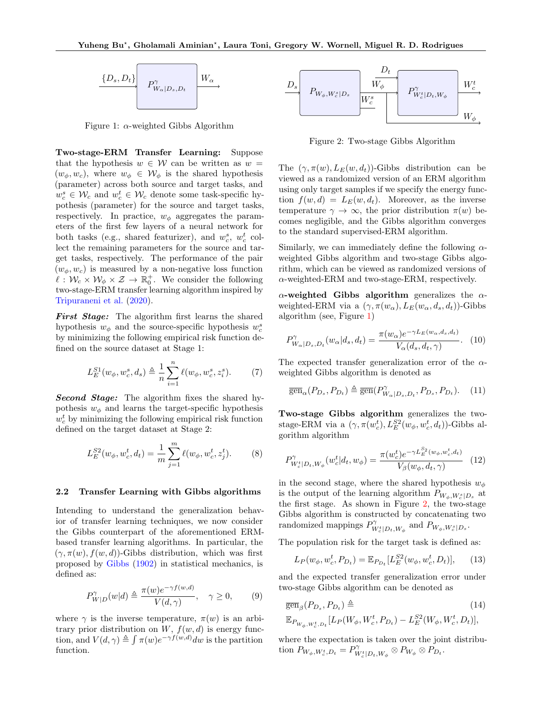

<span id="page-2-0"></span>Figure 1:  $\alpha$ -weighted Gibbs Algorithm

Two-stage-ERM Transfer Learning: Suppose that the hypothesis  $w \in W$  can be written as  $w =$  $(w_{\phi}, w_{c})$ , where  $w_{\phi} \in W_{\phi}$  is the shared hypothesis (parameter) across both source and target tasks, and  $w_c^s \in \mathcal{W}_c$  and  $w_c^t \in \mathcal{W}_c$  denote some task-specific hypothesis (parameter) for the source and target tasks, respectively. In practice,  $w_{\phi}$  aggregates the parameters of the first few layers of a neural network for both tasks (e.g., shared featurizer), and  $w_c^s$ ,  $w_c^t$  collect the remaining parameters for the source and target tasks, respectively. The performance of the pair  $(w_{\phi}, w_{c})$  is measured by a non-negative loss function  $\ell: \mathcal{W}_c \times \mathcal{W}_{\phi} \times \mathcal{Z} \to \mathbb{R}_0^+$ . We consider the following two-stage-ERM transfer learning algorithm inspired by [Tripuraneni et al.](#page-10-2) [\(2020](#page-10-2)).

First Stage: The algorithm first learns the shared hypothesis  $w_{\phi}$  and the source-specific hypothesis  $w_c^s$ by minimizing the following empirical risk function defined on the source dataset at Stage 1:

$$
L_E^{S1}(w_{\phi}, w_c^s, d_s) \triangleq \frac{1}{n} \sum_{i=1}^n \ell(w_{\phi}, w_c^s, z_i^s).
$$
 (7)

Second Stage: The algorithm fixes the shared hypothesis  $w_{\phi}$  and learns the target-specific hypothesis  $w_c^t$  by minimizing the following empirical risk function defined on the target dataset at Stage 2:

$$
L_E^{S2}(w_{\phi}, w_c^t, d_t) = \frac{1}{m} \sum_{j=1}^m \ell(w_{\phi}, w_c^t, z_j^t). \tag{8}
$$

#### 2.2 Transfer Learning with Gibbs algorithms

Intending to understand the generalization behavior of transfer learning techniques, we now consider the Gibbs counterpart of the aforementioned ERMbased transfer learning algorithms. In particular, the  $(\gamma, \pi(w), f(w, d))$ -Gibbs distribution, which was first proposed by [Gibbs](#page-9-7) [\(1902\)](#page-9-7) in statistical mechanics, is defined as:

<span id="page-2-3"></span>
$$
P_{W|D}^{\gamma}(w|d) \triangleq \frac{\pi(w)e^{-\gamma f(w,d)}}{V(d,\gamma)}, \quad \gamma \ge 0,
$$
 (9)

where  $\gamma$  is the inverse temperature,  $\pi(w)$  is an arbitrary prior distribution on  $W$ ,  $f(w, d)$  is energy function, and  $V(d, \gamma) \triangleq \int \pi(w) e^{-\gamma f(w,d)} dw$  is the partition function.



<span id="page-2-1"></span>Figure 2: Two-stage Gibbs Algorithm

The  $(\gamma, \pi(w), L_E(w, d_t))$ -Gibbs distribution can be viewed as a randomized version of an ERM algorithm using only target samples if we specify the energy function  $f(w, d) = L_E(w, d_t)$ . Moreover, as the inverse temperature  $\gamma \to \infty$ , the prior distribution  $\pi(w)$  becomes negligible, and the Gibbs algorithm converges to the standard supervised-ERM algorithm.

Similarly, we can immediately define the following  $\alpha$ weighted Gibbs algorithm and two-stage Gibbs algorithm, which can be viewed as randomized versions of  $\alpha$ -weighted-ERM and two-stage-ERM, respectively.

 $\alpha$ -weighted Gibbs algorithm generalizes the  $\alpha$ weighted-ERM via a  $(\gamma, \pi(w_\alpha), L_E(w_\alpha, d_s, d_t))$ -Gibbs algorithm (see, Figure [1\)](#page-2-0)

<span id="page-2-4"></span>
$$
P_{W_{\alpha}|D_s, D_t}^{\gamma}(w_{\alpha}|d_s, d_t) = \frac{\pi(w_{\alpha})e^{-\gamma L_E(w_{\alpha}, d_s, d_t)}}{V_{\alpha}(d_s, d_t, \gamma)}.
$$
 (10)

The expected transfer generalization error of the  $\alpha$ weighted Gibbs algorithm is denoted as

$$
\overline{\text{gen}}_{\alpha}(P_{D_s}, P_{D_t}) \triangleq \overline{\text{gen}}(P_{W_{\alpha}|D_s, D_t}^{\gamma}, P_{D_s}, P_{D_t}).
$$
 (11)

Two-stage Gibbs algorithm generalizes the twostage-ERM via a  $(\gamma, \pi(w_c^t), L_E^{S2}(w_\phi, w_c^t, d_t))$ -Gibbs algorithm algorithm

<span id="page-2-2"></span>
$$
P_{W_c^t|D_t, W_\phi}^{\gamma}(w_c^t|d_t, w_\phi) = \frac{\pi(w_c^t)e^{-\gamma L_E^{S_2}(w_\phi, w_c^t, d_t)}}{V_\beta(w_\phi, d_t, \gamma)} \quad (12)
$$

in the second stage, where the shared hypothesis  $w_{\phi}$ is the output of the learning algorithm  $P_{W_{\phi}, W_{c}^{s}|D_{s}}$  at the first stage. As shown in Figure [2,](#page-2-1) the two-stage Gibbs algorithm is constructed by concatenating two randomized mappings  $P^{\gamma}_{W_c^t|D_t,W_{\phi}}$  and  $P_{W_{\phi},W_c^s|D_s}$ .

The population risk for the target task is defined as:

$$
L_P(w_{\phi}, w_c^t, P_{D_t}) = \mathbb{E}_{P_{D_t}}[L_E^{S2}(w_{\phi}, w_c^t, D_t)], \qquad (13)
$$

and the expected transfer generalization error under two-stage Gibbs algorithm can be denoted as

$$
\overline{\text{gen}}_{\beta}(P_{D_s}, P_{D_t}) \triangleq (14)
$$
\n
$$
\mathbb{E}_{P_{W_{\phi}, W_c^t, D_t}}[L_P(W_{\phi}, W_c^t, P_{D_t}) - L_E^{S2}(W_{\phi}, W_c^t, D_t)],
$$

where the expectation is taken over the joint distribution  $P_{W_{\phi}, W_c^t, D_t} = P_{W_c^t | D_t, W_{\phi}}^{\gamma} \otimes P_{W_{\phi}} \otimes P_{D_t}.$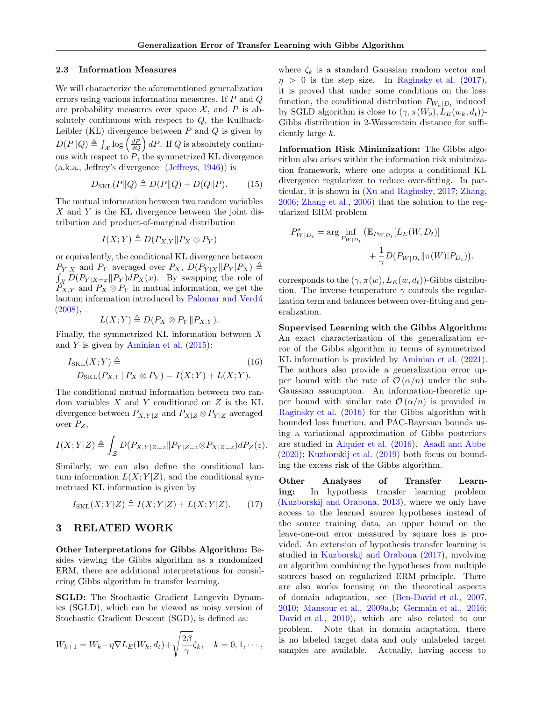#### 2.3 Information Measures

We will characterize the aforementioned generalization errors using various information measures. If  $P$  and  $Q$ are probability measures over space  $\mathcal{X}$ , and P is absolutely continuous with respect to  $Q$ , the Kullback-Leibler (KL) divergence between  $P$  and  $Q$  is given by  $D(P||Q) \triangleq \int_{\mathcal{X}} \log \left(\frac{dP}{dQ}\right) dP$ . If Q is absolutely continuous with respect to  $P$ , the symmetrized KL divergence (a.k.a., Jeffrey's divergence [\(Jeffreys](#page-9-8), [1946](#page-9-8))) is

$$
D_{\text{SKL}}(P\|Q) \triangleq D(P\|Q) + D(Q\|P). \tag{15}
$$

The mutual information between two random variables X and Y is the KL divergence between the joint distribution and product-of-marginal distribution

$$
I(X;Y) \triangleq D(P_{X,Y} || P_X \otimes P_Y)
$$

or equivalently, the conditional KL divergence between  $P_{Y|X}$  and  $P_Y$  averaged over  $P_X$ ,  $D(P_{Y|X} || P_Y | P_X) \triangleq$  $\int_{\mathcal{X}} D(P_{Y|X=x} || P_Y) dP_X(x)$ . By swapping the role of  $P_{X,Y}$  and  $P_X \otimes P_Y$  in mutual information, we get the lautum information introduced by Palomar and Verdú  $(2008)$ ,

$$
L(X;Y) \triangleq D(P_X \otimes P_Y || P_{X,Y}).
$$

Finally, the symmetrized KL information between X and Y is given by [Aminian et al.](#page-9-9)  $(2015)$  $(2015)$ :

$$
I_{\text{SKL}}(X;Y) \triangleq \tag{16}
$$
  

$$
D_{\text{SKL}}(P_{X,Y} || P_X \otimes P_Y) = I(X;Y) + L(X;Y).
$$

The conditional mutual information between two random variables  $X$  and  $Y$  conditioned on  $Z$  is the KL divergence between  $P_{X,Y|Z}$  and  $P_{X|Z} \otimes P_{Y|Z}$  averaged over  $P_Z$ ,

$$
I(X;Y|Z) \triangleq \int_{\mathcal{Z}} D(P_{X,Y|Z=z} \| P_{Y|Z=z} \otimes P_{X|Z=z}) dP_Z(z).
$$

Similarly, we can also define the conditional lautum information  $L(X; Y|Z)$ , and the conditional symmetrized KL information is given by

$$
I_{\text{SKL}}(X;Y|Z) \triangleq I(X;Y|Z) + L(X;Y|Z). \tag{17}
$$

## 3 RELATED WORK

Other Interpretations for Gibbs Algorithm: Besides viewing the Gibbs algorithm as a randomized ERM, there are additional interpretations for considering Gibbs algorithm in transfer learning.

SGLD: The Stochastic Gradient Langevin Dynamics (SGLD), which can be viewed as noisy version of Stochastic Gradient Descent (SGD), is defined as:

$$
W_{k+1} = W_k - \eta \nabla L_E(W_k, d_t) + \sqrt{\frac{2\beta}{\gamma}} \zeta_k, \quad k = 0, 1, \cdots,
$$

where  $\zeta_k$  is a standard Gaussian random vector and  $\eta > 0$  is the step size. In [Raginsky et al.](#page-10-7) [\(2017\)](#page-10-7), it is proved that under some conditions on the loss function, the conditional distribution  $P_{W_k|D_t}$  induced by SGLD algorithm is close to  $(\gamma, \pi(W_0), L_E(w_k, d_t))$ -Gibbs distribution in 2-Wasserstein distance for sufficiently large k.

Information Risk Minimization: The Gibbs algorithm also arises within the information risk minimization framework, where one adopts a conditional KL divergence regularizer to reduce over-fitting. In particular, it is shown in [\(Xu and Raginsky](#page-10-8), [2017;](#page-10-8) [Zhang,](#page-10-9) [2006;](#page-10-9) [Zhang et al.,](#page-10-10) [2006\)](#page-10-10) that the solution to the regularized ERM problem

$$
P_{W|D_t}^* = \arg\inf_{P_{W|D_t}} (\mathbb{E}_{P_{W,D_t}}[L_E(W, D_t)] + \frac{1}{\gamma} D(P_{W|D_t} || \pi(W)| P_{D_t})),
$$

corresponds to the  $(\gamma, \pi(w), L_E(w, d_t))$ -Gibbs distribution. The inverse temperature  $\gamma$  controls the regularization term and balances between over-fitting and generalization.

Supervised Learning with the Gibbs Algorithm: An exact characterization of the generalization error of the Gibbs algorithm in terms of symmetrized KL information is provided by [Aminian et al.](#page-9-10) [\(2021](#page-9-10)). The authors also provide a generalization error upper bound with the rate of  $\mathcal{O}(\alpha/n)$  under the sub-Gaussian assumption. An information-theoretic upper bound with similar rate  $\mathcal{O}(\alpha/n)$  is provided in [Raginsky et al.](#page-10-11) [\(2016\)](#page-10-11) for the Gibbs algorithm with bounded loss function, and PAC-Bayesian bounds using a variational approximation of Gibbs posteriors are studied in [Alquier et al.](#page-9-11) [\(2016](#page-9-11)). [Asadi and Abbe](#page-9-12) [\(2020\)](#page-9-12); [Kuzborskij et al.](#page-9-13) [\(2019](#page-9-13)) both focus on bounding the excess risk of the Gibbs algorithm.

Other Analyses of Transfer Learning: In hypothesis transfer learning problem [\(Kuzborskij and Orabona,](#page-9-14) [2013](#page-9-14)), where we only have access to the learned source hypotheses instead of the source training data, an upper bound on the leave-one-out error measured by square loss is provided. An extension of hypothesis transfer learning is studied in [Kuzborskij and Orabona](#page-9-15) [\(2017\)](#page-9-15), involving an algorithm combining the hypotheses from multiple sources based on regularized ERM principle. There are also works focusing on the theoretical aspects of domain adaptation, see [\(Ben-David et al.,](#page-9-2) [2007,](#page-9-2) [2010;](#page-9-5) [Mansour et al.](#page-10-12), [2009a](#page-10-12)[,b;](#page-10-13) [Germain et al.](#page-9-16), [2016;](#page-9-16) [David et al.](#page-9-17), [2010](#page-9-17)), which are also related to our problem. Note that in domain adaptation, there is no labeled target data and only unlabeled target samples are available. Actually, having access to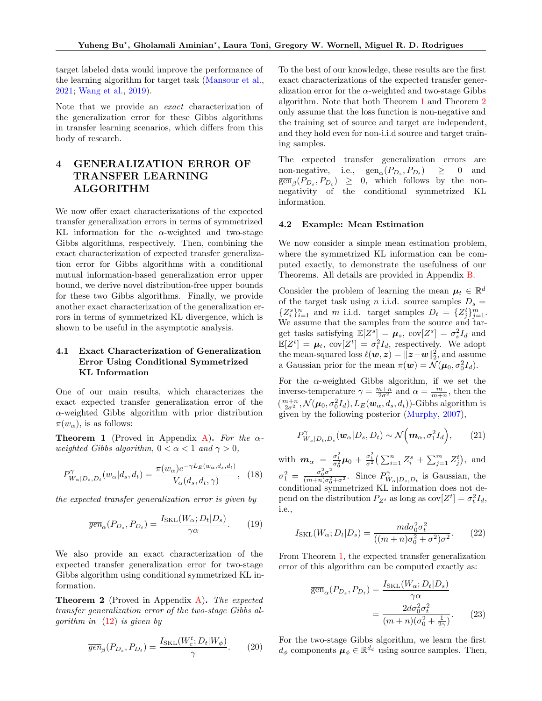target labeled data would improve the performance of the learning algorithm for target task [\(Mansour et al.,](#page-10-14) [2021;](#page-10-14) [Wang et al.](#page-10-3), [2019](#page-10-3)).

Note that we provide an *exact* characterization of the generalization error for these Gibbs algorithms in transfer learning scenarios, which differs from this body of research.

# 4 GENERALIZATION ERROR OF TRANSFER LEARNING ALGORITHM

We now offer exact characterizations of the expected transfer generalization errors in terms of symmetrized KL information for the  $\alpha$ -weighted and two-stage Gibbs algorithms, respectively. Then, combining the exact characterization of expected transfer generalization error for Gibbs algorithms with a conditional mutual information-based generalization error upper bound, we derive novel distribution-free upper bounds for these two Gibbs algorithms. Finally, we provide another exact characterization of the generalization errors in terms of symmetrized KL divergence, which is shown to be useful in the asymptotic analysis.

## 4.1 Exact Characterization of Generalization Error Using Conditional Symmetrized KL Information

One of our main results, which characterizes the exact expected transfer generalization error of the  $\alpha$ -weighted Gibbs algorithm with prior distribution  $\pi(w_\alpha)$ , is as follows:

<span id="page-4-0"></span>**Theorem 1** (Proved in Appendix [A\)](#page-11-0). For the  $\alpha$ weighted Gibbs algorithm,  $0 < \alpha < 1$  and  $\gamma > 0$ ,

$$
P_{W_{\alpha}|D_s, D_t}^{\gamma}(w_{\alpha}|d_s, d_t) = \frac{\pi(w_{\alpha})e^{-\gamma L_E(w_{\alpha}, d_s, d_t)}}{V_{\alpha}(d_s, d_t, \gamma)}, \quad (18)
$$

the expected transfer generalization error is given by

$$
\overline{gen}_{\alpha}(P_{D_s}, P_{D_t}) = \frac{I_{\text{SKL}}(W_{\alpha}; D_t | D_s)}{\gamma \alpha}.
$$
 (19)

We also provide an exact characterization of the expected transfer generalization error for two-stage Gibbs algorithm using conditional symmetrized KL information.

<span id="page-4-1"></span>Theorem 2 (Proved in Appendix [A\)](#page-11-0). The expected transfer generalization error of the two-stage Gibbs algorithm in  $(12)$  is given by

$$
\overline{gen}_{\beta}(P_{D_s}, P_{D_t}) = \frac{I_{\text{SKL}}(W_c^t; D_t|W_{\phi})}{\gamma}.
$$
 (20)

To the best of our knowledge, these results are the first exact characterizations of the expected transfer generalization error for the  $\alpha$ -weighted and two-stage Gibbs algorithm. Note that both Theorem [1](#page-4-0) and Theorem [2](#page-4-1) only assume that the loss function is non-negative and the training set of source and target are independent, and they hold even for non-i.i.d source and target training samples.

The expected transfer generalization errors are non-negative, i.e.,  $\overline{\text{gen}}_{\alpha}(P_{D_s}, P_{D_t})$  $) \geq 0$  and  $\overline{\text{gen}}_{\beta}(P_{D_s}, P_{D_t}) \geq 0$ , which follows by the nonnegativity of the conditional symmetrized KL information.

#### <span id="page-4-3"></span>4.2 Example: Mean Estimation

We now consider a simple mean estimation problem, where the symmetrized KL information can be computed exactly, to demonstrate the usefulness of our Theorems. All details are provided in Appendix [B.](#page-12-0)

Consider the problem of learning the mean  $\mu_t \in \mathbb{R}^d$ of the target task using n i.i.d. source samples  $D_s =$  ${Z_i^s}_{i=1}^n$  and m i.i.d. target samples  $D_t = {Z_j^t}_{j=1}^m$ . We assume that the samples from the source and target tasks satisfying  $\mathbb{E}[Z^s] = \mu_s$ ,  $cov[Z^s] = \sigma_s^2 I_d$  and  $\mathbb{E}[Z^t] = \mu_t$ ,  $\text{cov}[Z^t] = \sigma_t^2 I_d$ , respectively. We adopt the mean-squared loss  $\ell(w, z) = ||z - w||_2^2$ , and assume a Gaussian prior for the mean  $\pi(\boldsymbol{w}) = \mathcal{N}(\boldsymbol{\mu}_0, \sigma_0^2 I_d)$ .

For the  $\alpha$ -weighted Gibbs algorithm, if we set the inverse-temperature  $\gamma = \frac{m+n}{2\sigma^2}$  and  $\alpha = \frac{m}{m+n}$ , then the  $(\frac{m+n}{2\sigma^2},\mathcal{N}(\boldsymbol{\mu}_0,\sigma_0^2I_d),L_E(\boldsymbol{w}_\alpha,d_s,d_t))\textrm{-Gibbs algorithm is}$ given by the following posterior [\(Murphy](#page-10-15), [2007](#page-10-15)),

$$
P_{W_{\alpha}|D_t,D_s}^{\gamma}(\boldsymbol{w}_{\alpha}|D_s,D_t) \sim \mathcal{N}\left(\boldsymbol{m}_{\alpha},\sigma_1^2I_d\right),\qquad(21)
$$

with  $m_{\alpha} = \frac{\sigma_1^2}{\sigma_0^2} \mu_0 + \frac{\sigma_1^2}{\sigma^2} \left( \sum_{i=1}^n Z_i^s + \sum_{j=1}^m Z_j^t \right)$ , and  $\sigma_1^2 = \frac{\sigma_0^2 \sigma^2}{(m+n)\sigma_0^2}$  $\frac{\sigma_0^2 \sigma^2}{(m+n)\sigma_0^2 + \sigma^2}$ . Since  $P_W^{\gamma}$  $W_{\alpha}|_{D_s,D_t}$  is Gaussian, the conditional symmetrized KL information does not depend on the distribution  $P_{Z^t}$  as long as  $cov[Z^t] = \sigma_t^2 I_d$ , i.e.,

$$
I_{\text{SKL}}(W_{\alpha}; D_t | D_s) = \frac{md\sigma_0^2 \sigma_t^2}{((m+n)\sigma_0^2 + \sigma^2)\sigma^2}.
$$
 (22)

From Theorem [1,](#page-4-0) the expected transfer generalization error of this algorithm can be computed exactly as:

<span id="page-4-2"></span>
$$
\overline{\text{gen}}_{\alpha}(P_{D_s}, P_{D_t}) = \frac{I_{\text{SKL}}(W_{\alpha}; D_t | D_s)}{\gamma \alpha}
$$

$$
= \frac{2d\sigma_0^2 \sigma_t^2}{(m+n)(\sigma_0^2 + \frac{1}{2\gamma})}.
$$
(23)

For the two-stage Gibbs algorithm, we learn the first  $d_{\phi}$  components  $\boldsymbol{\mu}_{\phi} \in \mathbb{R}^{d_{\phi}}$  using source samples. Then,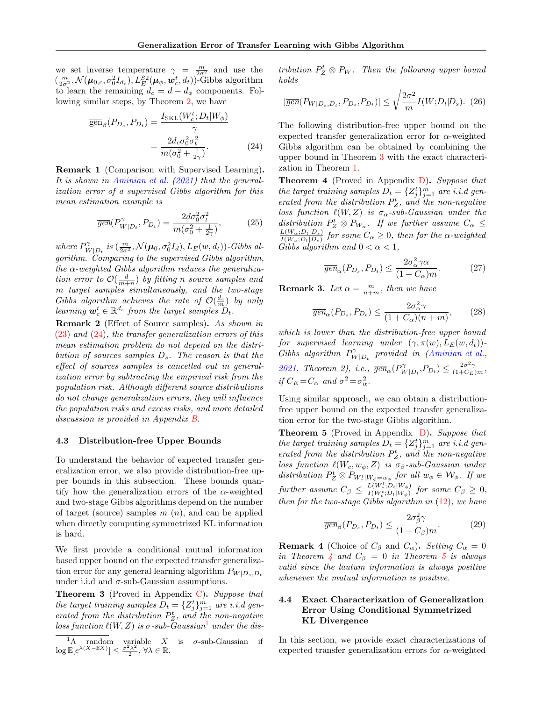we set inverse temperature  $\gamma = \frac{m}{2\sigma^2}$  and use the  $(\frac{m}{2\sigma^2}, \mathcal{N}(\boldsymbol{\mu}_{0,c}, \sigma_0^2 I_{d_c}), L_E^{S2}(\boldsymbol{\mu}_{\phi}, \boldsymbol{w}_c^t, d_t))$ -Gibbs algorithm to learn the remaining  $d_c = d - d_\phi$  components. Following similar steps, by Theorem [2,](#page-4-1) we have

$$
\overline{\text{gen}}_{\beta}(P_{D_s}, P_{D_t}) = \frac{I_{\text{SKL}}(W_c^t; D_t | W_{\phi})}{\gamma}
$$

$$
= \frac{2d_c \sigma_0^2 \sigma_t^2}{m(\sigma_0^2 + \frac{1}{2\gamma})}.
$$
(24)

Remark 1 (Comparison with Supervised Learning). It is shown in [Aminian et al.](#page-9-10) [\(2021\)](#page-9-10) that the generalization error of a supervised Gibbs algorithm for this mean estimation example is

$$
\overline{gen}(P_{W|D_t}^{\gamma}, P_{D_t}) = \frac{2d\sigma_0^2 \sigma_t^2}{m(\sigma_0^2 + \frac{1}{2\gamma})},\tag{25}
$$

where  $P_{\rm W}^{\gamma}$  $W_{\mid D_t}$  is  $(\frac{m}{2\sigma^2}, \mathcal{N}(\boldsymbol{\mu}_0, \sigma_0^2 I_d), L_E(w, d_t))$ -Gibbs algorithm. Comparing to the supervised Gibbs algorithm, the  $\alpha$ -weighted Gibbs algorithm reduces the generalization error to  $\mathcal{O}(\frac{d}{m+n})$  by fitting n source samples and m target samples simultaneously, and the two-stage Gibbs algorithm achieves the rate of  $\mathcal{O}(\frac{d_c}{m})$  by only learning  $\mathbf{w}_c^t \in \mathbb{R}^{d_c}$  from the target samples  $D_t$ .

Remark 2 (Effect of Source samples). As shown in  $(23)$  and  $(24)$ , the transfer generalization errors of this mean estimation problem do not depend on the distribution of sources samples  $D_s$ . The reason is that the effect of sources samples is cancelled out in generalization error by subtracting the empirical risk from the population risk. Although different source distributions do not change generalization errors, they will influence the population risks and excess risks, and more detailed discussion is provided in Appendix [B.](#page-12-0)

#### 4.3 Distribution-free Upper Bounds

To understand the behavior of expected transfer generalization error, we also provide distribution-free upper bounds in this subsection. These bounds quantify how the generalization errors of the  $\alpha$ -weighted and two-stage Gibbs algorithms depend on the number of target (source) samples  $m(n)$ , and can be applied when directly computing symmetrized KL information is hard.

We first provide a conditional mutual information based upper bound on the expected transfer generalization error for any general learning algorithm  $P_{W|D_s,D_t}$ under i.i.d and  $\sigma$ -sub-Gaussian assumptions.

<span id="page-5-2"></span>Theorem 3 (Proved in Appendix [C\)](#page-14-0). Suppose that the target training samples  $D_t = \{Z_j^t\}_{j=1}^m$  are i.i.d generated from the distribution  $P_Z^t$ , and the non-negative loss function  $\ell(W, Z)$  is  $\sigma$ -sub-Gaussian<sup>[1](#page-5-1)</sup> under the distribution  $P_Z^t \otimes P_W$ . Then the following upper bound holds

<span id="page-5-5"></span>
$$
|\overline{gen}(P_{W|D_s,D_t}, P_{D_s}, P_{D_t})| \le \sqrt{\frac{2\sigma^2}{m}I(W;D_t|D_s)}.
$$
 (26)

<span id="page-5-0"></span>The following distribution-free upper bound on the expected transfer generalization error for α-weighted Gibbs algorithm can be obtained by combining the upper bound in Theorem [3](#page-5-2) with the exact characterization in Theorem [1.](#page-4-0)

<span id="page-5-3"></span>Theorem 4 (Proved in Appendix [D\)](#page-16-0). Suppose that the target training samples  $D_t = \{Z_j^t\}_{j=1}^m$  are i.i.d generated from the distribution  $P_Z^t$ , and the non-negative loss function  $\ell(W, Z)$  is  $\sigma_{\alpha}$ -sub-Gaussian under the distribution  $P_Z^t \otimes P_{W_\alpha}$ . If we further assume  $C_\alpha \leq$  $L(W_\alpha; D_t|D_s)$  $\frac{L(W_\alpha; D_t|D_s)}{I(W_\alpha; D_t|D_s)}$  for some  $C_\alpha \geq 0$ , then for the  $\alpha$ -weighted Gibbs algorithm and  $0 < \alpha < 1$ ,

$$
\overline{gen}_{\alpha}(P_{D_s}, P_{D_t}) \le \frac{2\sigma_{\alpha}^2 \gamma \alpha}{(1 + C_{\alpha})m}.
$$
 (27)

**Remark 3.** Let  $\alpha = \frac{m}{n+m}$ , then we have

$$
\overline{gen}_{\alpha}(P_{D_s}, P_{D_t}) \le \frac{2\sigma_{\alpha}^2 \gamma}{(1 + C_{\alpha})(n+m)},
$$
 (28)

which is lower than the distribution-free upper bound for supervised learning under  $(\gamma, \pi(w), L_E(w, d_t))$ -Gibbs algorithm  $P_{\rm W}^{\gamma}$  $W_{\mid D_t}$  provided in [\(Aminian et al.](#page-9-10), [2021,](#page-9-10) Theorem 2), i.e.,  $\overline{gen}_{\alpha}(P_{W}^{\gamma})$  $W|_{D_t}, P_{D_t}$ )  $\leq \frac{2\sigma^2\gamma}{(1+C_E)m}$ , if  $C_E = C_\alpha$  and  $\sigma^2 = \sigma_\alpha^2$ .

Using similar approach, we can obtain a distributionfree upper bound on the expected transfer generalization error for the two-stage Gibbs algorithm.

<span id="page-5-4"></span>Theorem 5 (Proved in Appendix [D\)](#page-16-0). Suppose that the target training samples  $D_t = \{Z_j^t\}_{j=1}^m$  are i.i.d generated from the distribution  $P_Z^t$ , and the non-negative loss function  $\ell(W_c, w_\phi, Z)$  is  $\sigma_\beta$ -sub-Gaussian under distribution  $P_Z^t \otimes P_{W_c^t|W_{\phi}=w_{\phi}}$  for all  $w_{\phi} \in W_{\phi}$ . If we further assume  $C_{\beta} \leq \frac{L(W_c^t; D_t|W_{\phi})}{I(W_c^t; D_t|W_{\phi})}$  $\frac{E(W_c, D_t|W_{\phi})}{I(W_c^t; D_t|W_{\phi})}$  for some  $C_{\beta} \geq 0$ , then for the two-stage Gibbs algorithm in  $(12)$ , we have

$$
\overline{gen}_{\beta}(P_{D_s}, P_{D_t}) \le \frac{2\sigma_{\beta}^2 \gamma}{(1 + C_{\beta})m}.
$$
 (29)

**Remark 4** (Choice of  $C_\beta$  and  $C_\alpha$ ). Setting  $C_\alpha = 0$ in Theorem [4](#page-5-3) and  $C_\beta = 0$  in Theorem [5](#page-5-4) is always valid since the lautum information is always positive whenever the mutual information is positive.

## 4.4 Exact Characterization of Generalization Error Using Conditional Symmetrized KL Divergence

In this section, we provide exact characterizations of expected transfer generalization errors for  $\alpha$ -weighted

<span id="page-5-1"></span><sup>&</sup>lt;sup>1</sup>A random variable X is  $\sigma$ -sub-Gaussian if  $\log \mathbb{E}[e^{\lambda (X - \mathbb{E}X)}] \leq \frac{\sigma^2 \lambda^2}{2}$  $\frac{\partial^2 \lambda^2}{\partial x^2}$ ,  $\forall \lambda \in \mathbb{R}$ .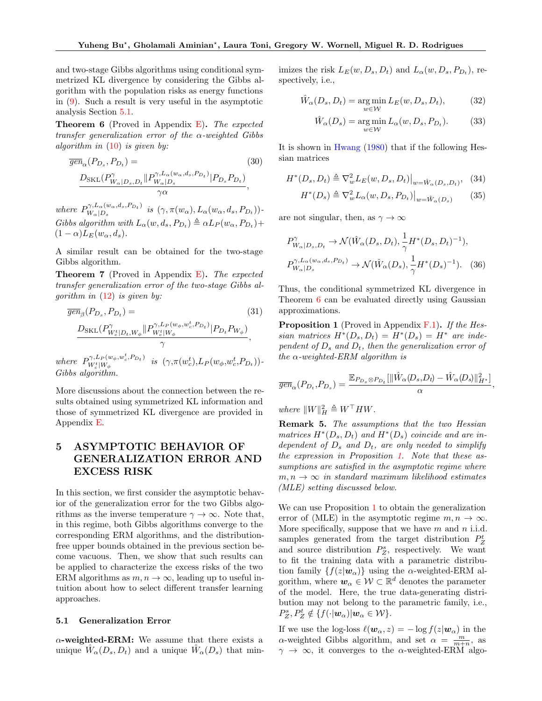and two-stage Gibbs algorithms using conditional symmetrized KL divergence by considering the Gibbs algorithm with the population risks as energy functions in [\(9\)](#page-2-3). Such a result is very useful in the asymptotic analysis Section [5.1.](#page-6-0)

<span id="page-6-1"></span>**Theorem 6** (Proved in Appendix  $E$ ). The expected transfer generalization error of the  $\alpha$ -weighted Gibbs algorithm in  $(10)$  is given by:

$$
\overline{gen}_{\alpha}(P_{D_s}, P_{D_t}) = \frac{D_{\text{SKL}}(P_{W_{\alpha}|D_s, D_t}^{\gamma, L_{\alpha}(w_{\alpha}, d_s, P_{D_t})}|P_{D_s}P_{D_t})}{P_{\alpha}}, \quad (30)
$$

where  $P_{W_+|D_-}^{\gamma,L_{\alpha}(w_{\alpha},d_s,P_{D_t})}$  $W_{\alpha}|_{D_s}^{1,\Delta_{\alpha}(\omega_{\alpha},u_s,1\,D_t)}$  is  $(\gamma,\pi(w_{\alpha}),L_{\alpha}(w_{\alpha},d_s,P_{D_t}))$ Gibbs algorithm with  $L_{\alpha}(w, d_s, P_{D_t}) \triangleq \alpha L_P(w_{\alpha}, P_{D_t}) +$  $(1 - \alpha) L_E(w_\alpha, d_s).$ 

A similar result can be obtained for the two-stage Gibbs algorithm.

<span id="page-6-3"></span>Theorem 7 (Proved in Appendix [E\)](#page-18-0). The expected transfer generalization error of the two-stage Gibbs algorithm in  $(12)$  is given by:

$$
\overline{gen}_{\beta}(P_{D_s}, P_{D_t}) = \frac{D_{\text{SKL}}(P_{W_c^t|D_t, W_\phi}^{\gamma}||P_{W_c^t|W_\phi}^{(\psi_\phi, w_c^t, P_{D_t})}||P_{D_t}P_{W_\phi})}{\gamma},
$$
\n
$$
\overline{var} = \frac{D_{\text{SKL}}(P_{W_c^t|D_t, W_\phi}^{\gamma}||P_{W_\phi}^{(\psi_\phi, w_c^t, P_{D_t})}||P_{D_t}P_{W_\phi})}{\gamma},
$$
\n
$$
(31)
$$

where  $P_{W^t|W}^{\gamma, L_P(w_\phi, w_c^t, P_{D_t})}$ W<sup>t</sup> c |W<sup>φ</sup> is (γ,π(w t c ),L<sup>P</sup> (wφ,w<sup>t</sup> c ,P<sup>D</sup><sup>t</sup> ))- Gibbs algorithm.

More discussions about the connection between the results obtained using symmetrized KL information and those of symmetrized KL divergence are provided in Appendix [E.](#page-18-0)

# 5 ASYMPTOTIC BEHAVIOR OF GENERALIZATION ERROR AND EXCESS RISK

In this section, we first consider the asymptotic behavior of the generalization error for the two Gibbs algorithms as the inverse temperature  $\gamma \to \infty$ . Note that, in this regime, both Gibbs algorithms converge to the corresponding ERM algorithms, and the distributionfree upper bounds obtained in the previous section become vacuous. Then, we show that such results can be applied to characterize the excess risks of the two ERM algorithms as  $m, n \to \infty$ , leading up to useful intuition about how to select different transfer learning approaches.

#### <span id="page-6-0"></span>5.1 Generalization Error

 $\alpha$ -weighted-ERM: We assume that there exists a unique  $\hat{W}_\alpha(D_s, D_t)$  and a unique  $\hat{W}_\alpha(D_s)$  that min-

imizes the risk  $L_E(w, D_s, D_t)$  and  $L_\alpha(w, D_s, P_{D_t})$ , respectively, i.e.,

$$
\hat{W}_{\alpha}(D_s, D_t) = \underset{w \in \mathcal{W}}{\arg \min} L_E(w, D_s, D_t), \quad (32)
$$

$$
\hat{W}_{\alpha}(D_s) = \underset{w \in \mathcal{W}}{\arg \min} L_{\alpha}(w, D_s, P_{D_t}). \tag{33}
$$

It is shown in [Hwang](#page-9-18) [\(1980\)](#page-9-18) that if the following Hessian matrices

$$
H^*(D_s, D_t) \triangleq \nabla_w^2 L_E(w, D_s, D_t)|_{w = \hat{W}_\alpha(D_s, D_t)}, \quad (34)
$$

<span id="page-6-4"></span>
$$
H^*(D_s) \triangleq \nabla_w^2 L_\alpha(w, D_s, P_{D_t})\big|_{w = \hat{W}_\alpha(D_s)} \tag{35}
$$

are not singular, then, as  $\gamma \to \infty$ 

$$
P_{W_{\alpha}|D_s, D_t}^{\gamma} \to \mathcal{N}(\hat{W}_{\alpha}(D_s, D_t), \frac{1}{\gamma} H^*(D_s, D_t)^{-1}),
$$
  

$$
P_{W_{\alpha}|D_s}^{\gamma, L_{\alpha}(w_{\alpha}, d_s, P_{D_t})} \to \mathcal{N}(\hat{W}_{\alpha}(D_s), \frac{1}{\gamma} H^*(D_s)^{-1}).
$$
 (36)

Thus, the conditional symmetrized KL divergence in Theorem [6](#page-6-1) can be evaluated directly using Gaussian approximations.

<span id="page-6-2"></span>**Proposition 1** (Proved in Appendix  $F.1$ ). If the Hessian matrices  $H^*(D_s, D_t) = H^*(D_s) = H^*$  are independent of  $D_s$  and  $D_t$ , then the generalization error of the  $\alpha$ -weighted-ERM algorithm is

$$
\overline{gen}_{\alpha}(P_{D_t}, P_{D_s}) = \frac{\mathbb{E}_{P_{D_s} \otimes P_{D_t}}[\|\hat{W}_{\alpha}(D_s, D_t) - \hat{W}_{\alpha}(D_s)\|_{H^*}^2]}{\alpha},
$$

where  $||W||_H^2 \triangleq W^\top H W$ .

Remark 5. The assumptions that the two Hessian matrices  $H^*(D_s, D_t)$  and  $H^*(D_s)$  coincide and are independent of  $D_s$  and  $D_t$ , are only needed to simplify the expression in Proposition [1.](#page-6-2) Note that these assumptions are satisfied in the asymptotic regime where  $m, n \rightarrow \infty$  in standard maximum likelihood estimates (MLE) setting discussed below.

We can use Proposition [1](#page-6-2) to obtain the generalization error of (MLE) in the asymptotic regime  $m, n \to \infty$ . More specifically, suppose that we have  $m$  and  $n$  i.i.d. samples generated from the target distribution  $P_Z^t$ and source distribution  $P_Z^s$ , respectively. We want to fit the training data with a parametric distribution family  $\{f(z|\mathbf{w}_\alpha)\}\$ using the α-weighted-ERM algorithm, where  $w_{\alpha} \in \mathcal{W} \subset \mathbb{R}^d$  denotes the parameter of the model. Here, the true data-generating distribution may not belong to the parametric family, i.e.,  $P_Z^s, P_Z^t \notin \{f(\cdot | \boldsymbol{w}_\alpha)| \boldsymbol{w}_\alpha \in \mathcal{W}\}.$ 

If we use the log-loss  $\ell(\boldsymbol{w}_{\alpha}, z) = -\log f(z|\boldsymbol{w}_{\alpha})$  in the  $\alpha$ -weighted Gibbs algorithm, and set  $\alpha = \frac{m}{m+n}$ , as  $\gamma \rightarrow \infty$ , it converges to the  $\alpha$ -weighted-ERM algo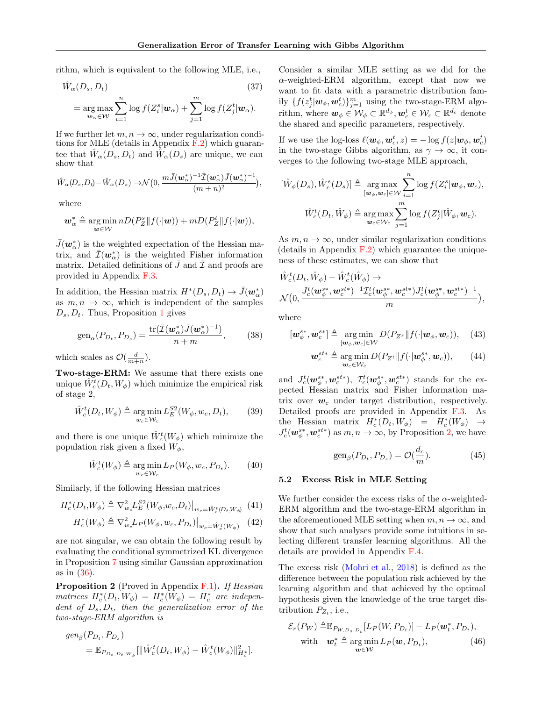rithm, which is equivalent to the following MLE, i.e.,

$$
\hat{W}_{\alpha}(D_s, D_t) \tag{37}
$$
\n
$$
= \underset{\mathbf{w}_{\alpha} \in \mathcal{W}}{\arg \max} \sum_{i=1}^n \log f(Z_i^s | \mathbf{w}_{\alpha}) + \sum_{j=1}^m \log f(Z_j^t | \mathbf{w}_{\alpha}).
$$

If we further let  $m, n \to \infty$ , under regularization conditions for MLE (details in Appendix  $\vec{F}.2$ ) which guarantee that  $\hat{W}_\alpha(D_s, D_t)$  and  $\hat{W}_\alpha(D_s)$  are unique, we can show that

$$
\hat{W}_\alpha(D_s, D_t) - \hat{W}_\alpha(D_s) \rightarrow \mathcal{N}\big(0, \frac{m\bar{J}(\boldsymbol{w}_\alpha^*)^{-1}\bar{\mathcal{I}}(\boldsymbol{w}_\alpha^*)\bar{J}(\boldsymbol{w}_\alpha^*)^{-1}}{(m+n)^2}\big),
$$

where

$$
\boldsymbol{w}_{\alpha}^* \triangleq \underset{\boldsymbol{w}\in\mathcal{W}}{\arg\min} nD(P^s_Z \| f(\cdot|\boldsymbol{w})) + mD(P^t_Z \| f(\cdot|\boldsymbol{w})),
$$

 $\bar{J}(\boldsymbol{w}_{\alpha}^{*})$  is the weighted expectation of the Hessian matrix, and  $\bar{\mathcal{I}}(\boldsymbol{w}_{\alpha}^{*})$  is the weighted Fisher information matrix. Detailed definitions of  $\bar{J}$  and  $\bar{\mathcal{I}}$  and proofs are provided in Appendix [F.3.](#page-22-1)

In addition, the Hessian matrix  $H^*(D_s, D_t) \to \bar{J}(w^*_{\alpha})$ as  $m, n \to \infty$ , which is independent of the samples  $D_s, D_t$ . Thus, Proposition [1](#page-6-2) gives

<span id="page-7-1"></span>
$$
\overline{\text{gen}}_{\alpha}(P_{D_t}, P_{D_s}) = \frac{\text{tr}(\overline{\mathcal{I}}(\boldsymbol{w}_{\alpha}^*)\overline{\mathcal{I}}(\boldsymbol{w}_{\alpha}^*)^{-1})}{n+m},\qquad(38)
$$

which scales as  $\mathcal{O}(\frac{d}{m+n})$ .

Two-stage-ERM: We assume that there exists one unique  $\hat{W}_c^t(D_t, W_{\phi})$  which minimize the empirical risk of stage 2,

$$
\hat{W}_c^t(D_t, W_\phi) \triangleq \underset{w_c \in \mathcal{W}_c}{\arg \min} L_E^{S2}(W_\phi, w_c, D_t), \qquad (39)
$$

and there is one unique  $\hat{W}_c^t(W_\phi)$  which minimize the population risk given a fixed  $W_{\phi}$ ,

$$
\hat{W}_c^t(W_\phi) \triangleq \underset{w_c \in \mathcal{W}_c}{\arg \min} L_P(W_\phi, w_c, P_{D_t}).\tag{40}
$$

Similarly, if the following Hessian matrices

$$
H_c^*(D_t, W_{\phi}) \triangleq \nabla_{w_c}^2 L_E^{S2}(W_{\phi}, w_c, D_t)|_{w_c = \hat{W}_c^t(D_t, W_{\phi})} \tag{41}
$$

$$
H_c^*(W_{\phi}) \triangleq \nabla_{w_c}^2 L_P(W_{\phi}, w_c, P_{D_t})\big|_{w_c = \hat{W}_c^t(W_{\phi})} \quad (42)
$$

are not singular, we can obtain the following result by evaluating the conditional symmetrized KL divergence in Proposition [7](#page-6-3) using similar Gaussian approximation as in [\(36\)](#page-6-4).

<span id="page-7-0"></span>**Proposition 2** (Proved in Appendix  $\mathbf{F}.\mathbf{1}$ ). If Hessian matrices  $H_c^*(D_t, W_\phi) = H_c^*(W_\phi) = H_c^*$  are independent of  $D_s, D_t$ , then the generalization error of the two-stage-ERM algorithm is

$$
\overline{gen}_{\beta}(P_{D_t}, P_{D_s}) = \mathbb{E}_{P_{D_s, D_t, W_{\phi}}} [\|\hat{W}_c^t(D_t, W_{\phi}) - \hat{W}_c^t(W_{\phi})\|_{H_c^*}^2].
$$

Consider a similar MLE setting as we did for the  $\alpha$ -weighted-ERM algorithm, except that now we want to fit data with a parametric distribution family  $\{f(z_j^t | \boldsymbol{w}_\phi, \boldsymbol{w}_c^t)\}_{j=1}^m$  using the two-stage-ERM algorithm, where  $w_{\phi} \in \mathcal{W}_{\phi} \subset \mathbb{R}^{d_{\phi}}, w_c^t \in \mathcal{W}_c \subset \mathbb{R}^{d_c}$  denote the shared and specific parameters, respectively.

If we use the log-loss  $\ell(\boldsymbol{w}_{\phi}, \boldsymbol{w}_c^t, z) = -\log f(z|\boldsymbol{w}_{\phi}, \boldsymbol{w}_c^t)$ in the two-stage Gibbs algorithm, as  $\gamma \to \infty$ , it converges to the following two-stage MLE approach,

$$
[\hat{W}_{\phi}(D_s), \hat{W}_c^s(D_s)] \triangleq \underset{\substack{[\boldsymbol{w}_{\phi}, \boldsymbol{w}_c] \in \mathcal{W} \\ \boldsymbol{w}_{\phi} \in \mathcal{W}_c}}{\arg \max} \sum_{i=1}^n \log f(Z_i^s | \boldsymbol{w}_{\phi}, \boldsymbol{w}_c),
$$

$$
\hat{W}_c^t(D_t, \hat{W}_{\phi}) \triangleq \underset{\boldsymbol{w}_c \in \mathcal{W}_c}{\arg \max} \sum_{j=1}^m \log f(Z_j^t | \hat{W}_{\phi}, \boldsymbol{w}_c).
$$

As  $m, n \to \infty$ , under similar regularization conditions (details in Appendix  $F.2$ ) which guarantee the uniqueness of these estimates, we can show that

$$
\begin{aligned}\n\hat{W}_c^t(D_t, \hat{W}_\phi) - \hat{W}_c^t(\hat{W}_\phi) &\rightarrow \\
\mathcal{N}\big(0, \frac{J_c^t(\boldsymbol{w}_\phi^{s*}, \boldsymbol{w}_c^{st*})^{-1} \mathcal{I}_c^t(\boldsymbol{w}_\phi^{s*}, \boldsymbol{w}_c^{st*}) J_c^t(\boldsymbol{w}_\phi^{s*}, \boldsymbol{w}_c^{st*})^{-1}}{m}\big),\n\end{aligned}
$$

where

$$
[\boldsymbol{w}_{\phi}^{s*}, \boldsymbol{w}_{c}^{s*}] \triangleq \underset{[\boldsymbol{w}_{\phi}, \boldsymbol{w}_{c}] \in \mathcal{W}}{\arg \min} D(P_{Z^{s}} \| f(\cdot | \boldsymbol{w}_{\phi}, \boldsymbol{w}_{c})), \quad (43)
$$

$$
\boldsymbol{w}_c^{st*} \triangleq \underset{\boldsymbol{w}_c \in \mathcal{W}_c}{\arg \min} D(P_{Z^t} || f(\cdot | \boldsymbol{w}_{\phi}^{s*}, \boldsymbol{w}_c)), \qquad (44)
$$

and  $J_c^t(\bm{w}_{\phi}^{s*},\bm{w}_c^{st*})$ ,  $\mathcal{I}_c^t(\bm{w}_{\phi}^{s*},\bm{w}_c^{st*})$  stands for the expected Hessian matrix and Fisher information matrix over  $w_c$  under target distribution, respectively. Detailed proofs are provided in Appendix [F.3.](#page-22-1) As the Hessian matrix  $H_c^*(D_t, W_\phi) = H_c^*(W_\phi) \rightarrow$  $J_c^t(\boldsymbol{w}_{\phi}^{s*}, \boldsymbol{w}_c^{st*})$  as  $m, n \to \infty$ , by Proposition [2,](#page-7-0) we have

<span id="page-7-2"></span>
$$
\overline{\text{gen}}_{\beta}(P_{D_t}, P_{D_s}) = \mathcal{O}(\frac{d_c}{m}).\tag{45}
$$

## 5.2 Excess Risk in MLE Setting

We further consider the excess risks of the  $\alpha$ -weighted-ERM algorithm and the two-stage-ERM algorithm in the aforementioned MLE setting when  $m, n \to \infty$ , and show that such analyses provide some intuitions in selecting different transfer learning algorithms. All the details are provided in Appendix [F.4.](#page-24-0)

The excess risk [\(Mohri et al.,](#page-10-16) [2018\)](#page-10-16) is defined as the difference between the population risk achieved by the learning algorithm and that achieved by the optimal hypothesis given the knowledge of the true target distribution  $P_{Z_t}$ , i.e.,

<span id="page-7-3"></span>
$$
\mathcal{E}_r(P_W) \triangleq \mathbb{E}_{P_{W,D_s,D_t}}[L_P(W, P_{D_t})] - L_P(\boldsymbol{w}_t^*, P_{D_t}),
$$
  
with 
$$
\boldsymbol{w}_t^* \triangleq \argmin_{\boldsymbol{w} \in \mathcal{W}} L_P(\boldsymbol{w}, P_{D_t}),
$$
 (46)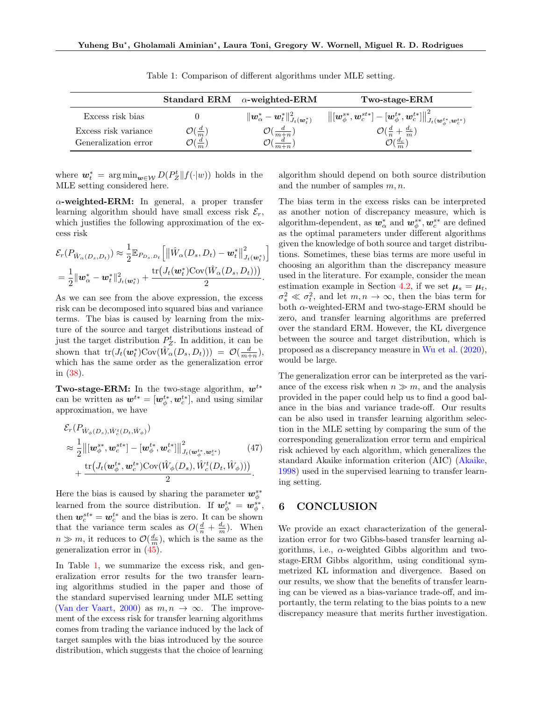|                      |                             | Standard ERM $\alpha$ -weighted-ERM                    | Two-stage-ERM                                                                                                                                                                        |
|----------------------|-----------------------------|--------------------------------------------------------|--------------------------------------------------------------------------------------------------------------------------------------------------------------------------------------|
| Excess risk bias     |                             | $\ \bm{w}^*_{\alpha}-\bm{w}^*_t\ ^2_{J_t(\bm{w}^*_t)}$ | $\left\lVert \left[ \bm{w}_{\phi}^{s*}, \bm{w}_{c}^{st*} \right] - \left[ \bm{w}_{\phi}^{t*}, \bm{w}_{c}^{t*} \right] \right\rVert_{J_{t}(\bm{w}_{\phi}^{t*}, \bm{w}_{c}^{t*})}^{2}$ |
| Excess risk variance | $\mathcal{O}(\frac{d}{m})$  | $O(\frac{d}{m+n})$                                     | $\mathcal{O}(\frac{d}{n}+\frac{d_c}{m})$                                                                                                                                             |
| Generalization error | $\mathfrak{I}(\frac{d}{m})$ | $\frac{d}{m+n}$                                        | $\mathcal{O}(\frac{d_c}{m})$                                                                                                                                                         |

<span id="page-8-0"></span>Table 1: Comparison of different algorithms under MLE setting.

where  $\mathbf{w}_t^* = \arg \min_{\mathbf{w} \in \mathcal{W}} D(P_Z^t \| f(\cdot | \mathbf{w}))$  holds in the MLE setting considered here.

 $\alpha$ -weighted-ERM: In general, a proper transfer learning algorithm should have small excess risk  $\mathcal{E}_r$ , which justifies the following approximation of the excess risk

$$
\mathcal{E}_{r}(P_{\hat{W}_{\alpha}(D_{s},D_{t})}) \approx \frac{1}{2} \mathbb{E}_{P_{D_{s},D_{t}}} \Big[ \big\| \hat{W}_{\alpha}(D_{s},D_{t}) - \mathbf{w}_{t}^{*} \big\|_{J_{t}(\mathbf{w}_{t}^{*})}^{2}\Big] = \frac{1}{2} \|\mathbf{w}_{\alpha}^{*} - \mathbf{w}_{t}^{*} \|^2_{J_{t}(\mathbf{w}_{t}^{*})} + \frac{\text{tr}(J_{t}(\mathbf{w}_{t}^{*}) \text{Cov}(\hat{W}_{\alpha}(D_{s},D_{t})))}{2}.
$$

As we can see from the above expression, the excess risk can be decomposed into squared bias and variance terms. The bias is caused by learning from the mixture of the source and target distributions instead of just the target distribution  $P_Z^t$ . In addition, it can be shown that  $\text{tr}(J_t(\boldsymbol{w}_t^*)\text{Cov}(\hat{W}_\alpha(D_s, D_t))) = \mathcal{O}(\frac{d}{m+n}),$ which has the same order as the generalization error in [\(38\)](#page-7-1).

Two-stage-ERM: In the two-stage algorithm,  $w^{t*}$ can be written as  $w^{t*} = [\boldsymbol{w}_{\phi}^{t*}, \boldsymbol{w}_{c}^{t*}],$  and using similar approximation, we have

$$
\mathcal{E}_{r}(P_{\hat{W}_{\phi}(D_{s}),\hat{W}_{c}^{t}(D_{t},\hat{W}_{\phi})})\n\t\approx \frac{1}{2} \left\| [\boldsymbol{w}_{\phi}^{**}, \boldsymbol{w}_{c}^{st*}] - [\boldsymbol{w}_{\phi}^{t*}, \boldsymbol{w}_{c}^{t*}] \right\|_{J_{t}(\boldsymbol{w}_{\phi}^{t*}, \boldsymbol{w}_{c}^{t*})}^{2} \n+ \frac{\text{tr}\left(J_{t}(\boldsymbol{w}_{\phi}^{t*}, \boldsymbol{w}_{c}^{t*}) \text{Cov}(\hat{W}_{\phi}(D_{s}), \hat{W}_{c}^{t}(D_{t}, \hat{W}_{\phi}))\right)}{2}.
$$
\n(47)

Here the bias is caused by sharing the parameter  $\mathbf{w}_{\phi}^{s*}$ learned from the source distribution. If  $w_{\phi}^{t*} = w_{\phi}^{s*}$ , then  $w_c^{st*} = w_c^{t*}$  and the bias is zero. It can be shown that the variance term scales as  $O(\frac{d}{n} + \frac{d_c}{m})$ . When  $n \gg m$ , it reduces to  $\mathcal{O}(\frac{d_c}{m})$ , which is the same as the generalization error in [\(45\)](#page-7-2).

In Table [1,](#page-8-0) we summarize the excess risk, and generalization error results for the two transfer learning algorithms studied in the paper and those of the standard supervised learning under MLE setting [\(Van der Vaart,](#page-10-17) [2000](#page-10-17)) as  $m, n \rightarrow \infty$ . The improvement of the excess risk for transfer learning algorithms comes from trading the variance induced by the lack of target samples with the bias introduced by the source distribution, which suggests that the choice of learning algorithm should depend on both source distribution and the number of samples  $m, n$ .

The bias term in the excess risks can be interpreted as another notion of discrepancy measure, which is algorithm-dependent, as  $\mathbf{w}_{\alpha}^{*}$  and  $\mathbf{w}_{\phi}^{s*}, \mathbf{w}_{c}^{s*}$  are defined as the optimal parameters under different algorithms given the knowledge of both source and target distributions. Sometimes, these bias terms are more useful in choosing an algorithm than the discrepancy measure used in the literature. For example, consider the mean estimation example in Section [4.2,](#page-4-3) if we set  $\mu_s = \mu_t$ ,  $\sigma_t^2 \ll \sigma_t^2$ , and let  $m, n \to \infty$ , then the bias term for both  $\alpha$ -weighted-ERM and two-stage-ERM should be zero, and transfer learning algorithms are preferred over the standard ERM. However, the KL divergence between the source and target distribution, which is proposed as a discrepancy measure in [Wu et al.](#page-10-4) [\(2020\)](#page-10-4), would be large.

The generalization error can be interpreted as the variance of the excess risk when  $n \gg m$ , and the analysis provided in the paper could help us to find a good balance in the bias and variance trade-off. Our results can be also used in transfer learning algorithm selection in the MLE setting by comparing the sum of the corresponding generalization error term and empirical risk achieved by each algorithm, which generalizes the standard Akaike information criterion (AIC) [\(Akaike,](#page-9-19) [1998](#page-9-19)) used in the supervised learning to transfer learning setting.

# 6 CONCLUSION

We provide an exact characterization of the generalization error for two Gibbs-based transfer learning algorithms, i.e.,  $\alpha$ -weighted Gibbs algorithm and twostage-ERM Gibbs algorithm, using conditional symmetrized KL information and divergence. Based on our results, we show that the benefits of transfer learning can be viewed as a bias-variance trade-off, and importantly, the term relating to the bias points to a new discrepancy measure that merits further investigation.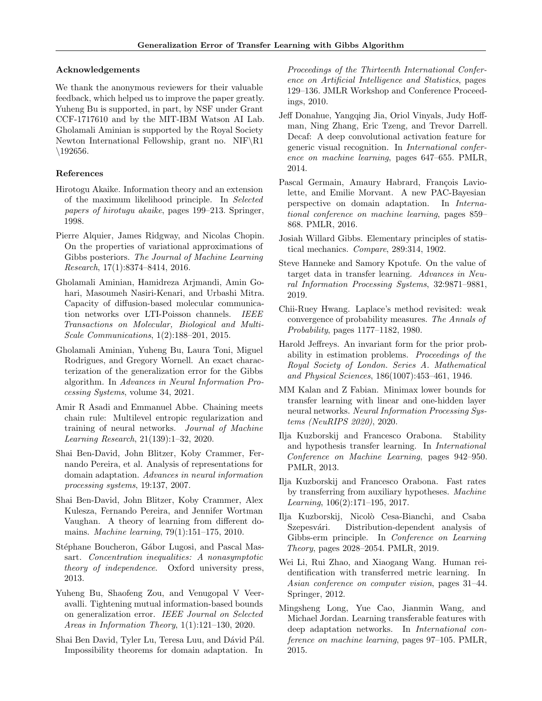## Acknowledgements

We thank the anonymous reviewers for their valuable feedback, which helped us to improve the paper greatly. Yuheng Bu is supported, in part, by NSF under Grant CCF-1717610 and by the MIT-IBM Watson AI Lab. Gholamali Aminian is supported by the Royal Society Newton International Fellowship, grant no. NIF $\R1$ \192656.

# References

- <span id="page-9-19"></span>Hirotogu Akaike. Information theory and an extension of the maximum likelihood principle. In Selected papers of hirotugu akaike, pages 199–213. Springer, 1998.
- <span id="page-9-11"></span>Pierre Alquier, James Ridgway, and Nicolas Chopin. On the properties of variational approximations of Gibbs posteriors. The Journal of Machine Learning Research, 17(1):8374–8414, 2016.
- <span id="page-9-9"></span>Gholamali Aminian, Hamidreza Arjmandi, Amin Gohari, Masoumeh Nasiri-Kenari, and Urbashi Mitra. Capacity of diffusion-based molecular communication networks over LTI-Poisson channels. IEEE Transactions on Molecular, Biological and Multi-Scale Communications, 1(2):188–201, 2015.
- <span id="page-9-10"></span>Gholamali Aminian, Yuheng Bu, Laura Toni, Miguel Rodrigues, and Gregory Wornell. An exact characterization of the generalization error for the Gibbs algorithm. In Advances in Neural Information Processing Systems, volume 34, 2021.
- <span id="page-9-12"></span>Amir R Asadi and Emmanuel Abbe. Chaining meets chain rule: Multilevel entropic regularization and training of neural networks. Journal of Machine Learning Research, 21(139):1–32, 2020.
- <span id="page-9-2"></span>Shai Ben-David, John Blitzer, Koby Crammer, Fernando Pereira, et al. Analysis of representations for domain adaptation. Advances in neural information processing systems, 19:137, 2007.
- <span id="page-9-5"></span>Shai Ben-David, John Blitzer, Koby Crammer, Alex Kulesza, Fernando Pereira, and Jennifer Wortman Vaughan. A theory of learning from different domains. Machine learning, 79(1):151–175, 2010.
- <span id="page-9-20"></span>Stéphane Boucheron, Gábor Lugosi, and Pascal Massart. Concentration inequalities: A nonasymptotic theory of independence. Oxford university press, 2013.
- <span id="page-9-21"></span>Yuheng Bu, Shaofeng Zou, and Venugopal V Veeravalli. Tightening mutual information-based bounds on generalization error. IEEE Journal on Selected Areas in Information Theory, 1(1):121–130, 2020.
- <span id="page-9-17"></span>Shai Ben David, Tyler Lu, Teresa Luu, and Dávid Pál. Impossibility theorems for domain adaptation. In

Proceedings of the Thirteenth International Conference on Artificial Intelligence and Statistics, pages 129–136. JMLR Workshop and Conference Proceedings, 2010.

- <span id="page-9-6"></span>Jeff Donahue, Yangqing Jia, Oriol Vinyals, Judy Hoffman, Ning Zhang, Eric Tzeng, and Trevor Darrell. Decaf: A deep convolutional activation feature for generic visual recognition. In International conference on machine learning, pages 647–655. PMLR, 2014.
- <span id="page-9-16"></span>Pascal Germain, Amaury Habrard, François Laviolette, and Emilie Morvant. A new PAC-Bayesian perspective on domain adaptation. In International conference on machine learning, pages 859– 868. PMLR, 2016.
- <span id="page-9-7"></span>Josiah Willard Gibbs. Elementary principles of statistical mechanics. Compare, 289:314, 1902.
- <span id="page-9-3"></span>Steve Hanneke and Samory Kpotufe. On the value of target data in transfer learning. Advances in Neural Information Processing Systems, 32:9871–9881, 2019.
- <span id="page-9-18"></span>Chii-Ruey Hwang. Laplace's method revisited: weak convergence of probability measures. The Annals of Probability, pages 1177–1182, 1980.
- <span id="page-9-8"></span>Harold Jeffreys. An invariant form for the prior probability in estimation problems. Proceedings of the Royal Society of London. Series A. Mathematical and Physical Sciences, 186(1007):453–461, 1946.
- <span id="page-9-4"></span>MM Kalan and Z Fabian. Minimax lower bounds for transfer learning with linear and one-hidden layer neural networks. Neural Information Processing Systems (NeuRIPS 2020), 2020.
- <span id="page-9-14"></span>Ilja Kuzborskij and Francesco Orabona. Stability and hypothesis transfer learning. In International Conference on Machine Learning, pages 942–950. PMLR, 2013.
- <span id="page-9-15"></span>Ilja Kuzborskij and Francesco Orabona. Fast rates by transferring from auxiliary hypotheses. Machine Learning, 106(2):171–195, 2017.
- <span id="page-9-13"></span>Ilja Kuzborskij, Nicolò Cesa-Bianchi, and Csaba Szepesvári. Distribution-dependent analysis of Gibbs-erm principle. In Conference on Learning Theory, pages 2028–2054. PMLR, 2019.
- <span id="page-9-0"></span>Wei Li, Rui Zhao, and Xiaogang Wang. Human reidentification with transferred metric learning. In Asian conference on computer vision, pages 31–44. Springer, 2012.
- <span id="page-9-1"></span>Mingsheng Long, Yue Cao, Jianmin Wang, and Michael Jordan. Learning transferable features with deep adaptation networks. In International conference on machine learning, pages 97–105. PMLR, 2015.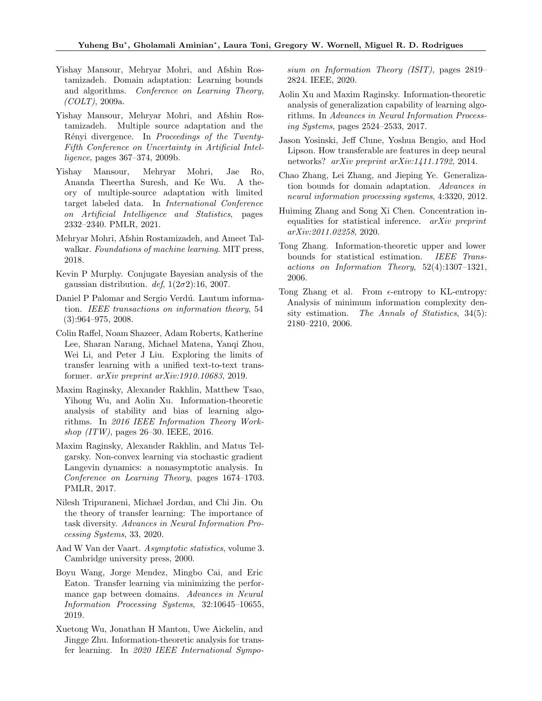- <span id="page-10-12"></span>Yishay Mansour, Mehryar Mohri, and Afshin Rostamizadeh. Domain adaptation: Learning bounds and algorithms. Conference on Learning Theory,  $(COLT)$ , 2009a.
- <span id="page-10-13"></span>Yishay Mansour, Mehryar Mohri, and Afshin Rostamizadeh. Multiple source adaptation and the Rényi divergence. In Proceedings of the Twenty-Fifth Conference on Uncertainty in Artificial Intelligence, pages 367–374, 2009b.
- <span id="page-10-14"></span>Yishay Mansour, Mehryar Mohri, Jae Ro, Ananda Theertha Suresh, and Ke Wu. A theory of multiple-source adaptation with limited target labeled data. In International Conference on Artificial Intelligence and Statistics, pages 2332–2340. PMLR, 2021.
- <span id="page-10-16"></span>Mehryar Mohri, Afshin Rostamizadeh, and Ameet Talwalkar. Foundations of machine learning. MIT press, 2018.
- <span id="page-10-15"></span>Kevin P Murphy. Conjugate Bayesian analysis of the gaussian distribution. def,  $1(2\sigma2)$ :16, 2007.
- <span id="page-10-6"></span>Daniel P Palomar and Sergio Verdú. Lautum information. IEEE transactions on information theory, 54 (3):964–975, 2008.
- <span id="page-10-1"></span>Colin Raffel, Noam Shazeer, Adam Roberts, Katherine Lee, Sharan Narang, Michael Matena, Yanqi Zhou, Wei Li, and Peter J Liu. Exploring the limits of transfer learning with a unified text-to-text transformer. arXiv preprint arXiv:1910.10683, 2019.
- <span id="page-10-11"></span>Maxim Raginsky, Alexander Rakhlin, Matthew Tsao, Yihong Wu, and Aolin Xu. Information-theoretic analysis of stability and bias of learning algorithms. In 2016 IEEE Information Theory Workshop (ITW), pages 26–30. IEEE, 2016.
- <span id="page-10-7"></span>Maxim Raginsky, Alexander Rakhlin, and Matus Telgarsky. Non-convex learning via stochastic gradient Langevin dynamics: a nonasymptotic analysis. In Conference on Learning Theory, pages 1674–1703. PMLR, 2017.
- <span id="page-10-2"></span>Nilesh Tripuraneni, Michael Jordan, and Chi Jin. On the theory of transfer learning: The importance of task diversity. Advances in Neural Information Processing Systems, 33, 2020.
- <span id="page-10-17"></span>Aad W Van der Vaart. Asymptotic statistics, volume 3. Cambridge university press, 2000.
- <span id="page-10-3"></span>Boyu Wang, Jorge Mendez, Mingbo Cai, and Eric Eaton. Transfer learning via minimizing the performance gap between domains. Advances in Neural Information Processing Systems, 32:10645–10655, 2019.
- <span id="page-10-4"></span>Xuetong Wu, Jonathan H Manton, Uwe Aickelin, and Jingge Zhu. Information-theoretic analysis for transfer learning. In 2020 IEEE International Sympo-

sium on Information Theory (ISIT), pages 2819– 2824. IEEE, 2020.

- <span id="page-10-8"></span>Aolin Xu and Maxim Raginsky. Information-theoretic analysis of generalization capability of learning algorithms. In Advances in Neural Information Processing Systems, pages 2524–2533, 2017.
- <span id="page-10-0"></span>Jason Yosinski, Jeff Clune, Yoshua Bengio, and Hod Lipson. How transferable are features in deep neural networks? arXiv preprint arXiv:1411.1792, 2014.
- <span id="page-10-5"></span>Chao Zhang, Lei Zhang, and Jieping Ye. Generalization bounds for domain adaptation. Advances in neural information processing systems, 4:3320, 2012.
- <span id="page-10-18"></span>Huiming Zhang and Song Xi Chen. Concentration inequalities for statistical inference. arXiv preprint arXiv:2011.02258, 2020.
- <span id="page-10-9"></span>Tong Zhang. Information-theoretic upper and lower bounds for statistical estimation. IEEE Transactions on Information Theory, 52(4):1307–1321, 2006.
- <span id="page-10-10"></span>Tong Zhang et al. From  $\epsilon$ -entropy to KL-entropy: Analysis of minimum information complexity density estimation. The Annals of Statistics, 34(5): 2180–2210, 2006.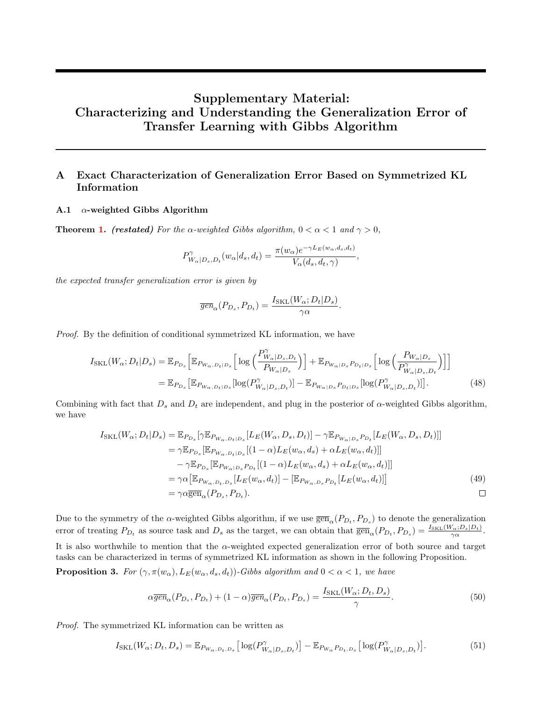# Supplementary Material: Characterizing and Understanding the Generalization Error of Transfer Learning with Gibbs Algorithm

# <span id="page-11-0"></span>A Exact Characterization of Generalization Error Based on Symmetrized KL Information

#### A.1  $\alpha$ -weighted Gibbs Algorithm

**Theorem [1.](#page-4-0)** (restated) For the  $\alpha$ -weighted Gibbs algorithm,  $0 < \alpha < 1$  and  $\gamma > 0$ ,

$$
P^{\gamma}_{W_{\alpha}|D_s, D_t}(w_{\alpha}|d_s, d_t) = \frac{\pi(w_{\alpha})e^{-\gamma L_E(w_{\alpha}, d_s, d_t)}}{V_{\alpha}(d_s, d_t, \gamma)},
$$

the expected transfer generalization error is given by

$$
\overline{gen}_{\alpha}(P_{D_s}, P_{D_t}) = \frac{I_{\text{SKL}}(W_{\alpha}; D_t|D_s)}{\gamma \alpha}
$$

Proof. By the definition of conditional symmetrized KL information, we have

$$
I_{\text{SKL}}(W_{\alpha}; D_{t}|D_{s}) = \mathbb{E}_{P_{D_{s}}}\left[\mathbb{E}_{P_{W_{\alpha}, D_{t}|D_{s}}}\left[\log\left(\frac{P_{W_{\alpha}|D_{s}, D_{t}}^{\gamma}}{P_{W_{\alpha}|D_{s}}}\right)\right] + \mathbb{E}_{P_{W_{\alpha}|D_{s}}P_{D_{t}|D_{s}}}\left[\log\left(\frac{P_{W_{\alpha}|D_{s}}}{P_{W_{\alpha}|D_{s}, D_{t}}^{\gamma}}\right)\right]\right]
$$
  
=  $\mathbb{E}_{P_{D_{s}}}\left[\mathbb{E}_{P_{W_{\alpha}, D_{t}|D_{s}}}\left[\log(P_{W_{\alpha}|D_{s}, D_{t}}^{\gamma})\right] - \mathbb{E}_{P_{W_{\alpha}|D_{s}}P_{D_{t}|D_{s}}}\left[\log(P_{W_{\alpha}|D_{s}, D_{t}}^{\gamma})\right]\right].$  (48)

.

Combining with fact that  $D_s$  and  $D_t$  are independent, and plug in the posterior of  $\alpha$ -weighted Gibbs algorithm, we have

$$
I_{\text{SKL}}(W_{\alpha}; D_t|D_s) = \mathbb{E}_{P_{D_s}}[\gamma \mathbb{E}_{P_{W_{\alpha}, D_t|D_s}}[L_E(W_{\alpha}, D_s, D_t)] - \gamma \mathbb{E}_{P_{W_{\alpha}|D_s}P_{D_t}}[L_E(W_{\alpha}, D_s, D_t)]]
$$
  
\n
$$
= \gamma \mathbb{E}_{P_{D_s}}[\mathbb{E}_{P_{W_{\alpha}, D_t|D_s}}[(1-\alpha)L_E(w_{\alpha}, d_s) + \alpha L_E(w_{\alpha}, d_t)]]
$$
  
\n
$$
- \gamma \mathbb{E}_{P_{D_s}}[\mathbb{E}_{P_{W_{\alpha}|D_s}P_{D_t}}[(1-\alpha)L_E(w_{\alpha}, d_s) + \alpha L_E(w_{\alpha}, d_t)]]
$$
  
\n
$$
= \gamma \alpha [\mathbb{E}_{P_{W_{\alpha}, D_t, D_s}}[L_E(w_{\alpha}, d_t)] - [\mathbb{E}_{P_{W_{\alpha}, D_s}P_{D_t}}[L_E(w_{\alpha}, d_t)]]
$$
  
\n
$$
= \gamma \alpha \overline{\text{gen}}_{\alpha}(P_{D_s}, P_{D_t}).
$$

Due to the symmetry of the  $\alpha$ -weighted Gibbs algorithm, if we use  $\overline{\text{gen}}_{\alpha}(P_{D_t}, P_{D_s})$  to denote the generalization error of treating  $P_{D_t}$  as source task and  $D_s$  as the target, we can obtain that  $\overline{\text{gen}}_{\alpha}(P_{D_t}, P_{D_s}) = \frac{I_{\text{SKL}}(W_{\alpha}; D_s|D_t)}{\gamma \alpha}$ .

It is also worthwhile to mention that the  $\alpha$ -weighted expected generalization error of both source and target tasks can be characterized in terms of symmetrized KL information as shown in the following Proposition.

<span id="page-11-1"></span>**Proposition 3.** For  $(\gamma, \pi(w_\alpha), L_E(w_\alpha, d_s, d_t))$ -Gibbs algorithm and  $0 < \alpha < 1$ , we have

$$
\alpha \overline{gen}_{\alpha}(P_{D_s}, P_{D_t}) + (1 - \alpha) \overline{gen}_{\alpha}(P_{D_t}, P_{D_s}) = \frac{I_{\text{SKL}}(W_{\alpha}; D_t, D_s)}{\gamma}.
$$
\n
$$
(50)
$$

Proof. The symmetrized KL information can be written as

$$
I_{\text{SKL}}(W_{\alpha}; D_t, D_s) = \mathbb{E}_{P_{W_{\alpha}, D_t, D_s}} \left[ \log(P_{W_{\alpha} | D_s, D_t}^{\gamma}) \right] - \mathbb{E}_{P_{W_{\alpha}} P_{D_t, D_s}} \left[ \log(P_{W_{\alpha} | D_s, D_t}^{\gamma}) \right]. \tag{51}
$$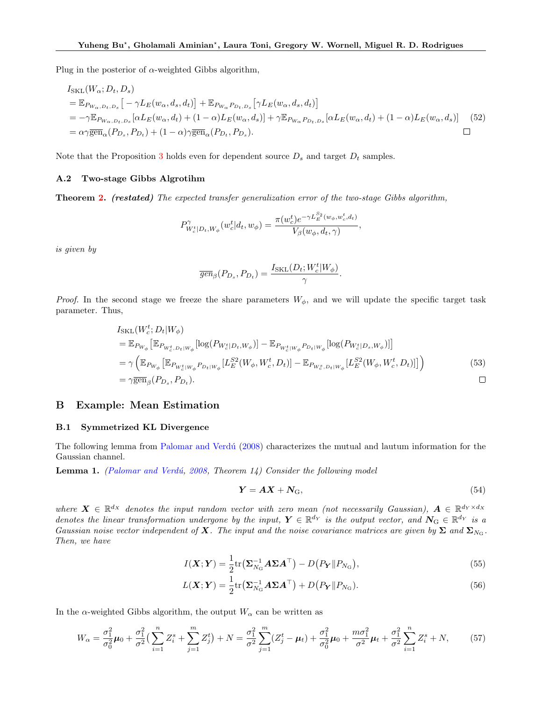Plug in the posterior of  $\alpha$ -weighted Gibbs algorithm,

$$
I_{\text{SKL}}(W_{\alpha}; D_t, D_s)
$$
  
=  $\mathbb{E}_{P_{W_{\alpha}, D_t, D_s}}[-\gamma L_E(w_{\alpha}, d_s, d_t)] + \mathbb{E}_{P_{W_{\alpha}}P_{D_t, D_s}}[\gamma L_E(w_{\alpha}, d_s, d_t)]$   
=  $-\gamma \mathbb{E}_{P_{W_{\alpha}, D_t, D_s}}[\alpha L_E(w_{\alpha}, d_t) + (1 - \alpha)L_E(w_{\alpha}, d_s)] + \gamma \mathbb{E}_{P_{W_{\alpha}}P_{D_t, D_s}}[\alpha L_E(w_{\alpha}, d_t) + (1 - \alpha)L_E(w_{\alpha}, d_s)]$  (52)  
=  $\alpha \gamma \overline{\text{gen}}_{\alpha}(P_{D_s}, P_{D_t}) + (1 - \alpha) \gamma \overline{\text{gen}}_{\alpha}(P_{D_t}, P_{D_s}).$ 

Note that the Proposition [3](#page-11-1) holds even for dependent source  $D_s$  and target  $D_t$  samples.

#### A.2 Two-stage Gibbs Algrotihm

Theorem [2.](#page-4-1) (restated) The expected transfer generalization error of the two-stage Gibbs algorithm,

$$
P_{W_c^t|D_t,W_\phi}^{\gamma}(w_c^t|d_t,w_\phi) = \frac{\pi(w_c^t)e^{-\gamma L_E^{S_2}(w_\phi,w_c^t,d_t)}}{V_\beta(w_\phi,d_t,\gamma)}
$$

is given by

$$
\overline{gen}_{\beta}(P_{D_s}, P_{D_t}) = \frac{I_{\text{SKL}}(D_t; W_c^t | W_{\phi})}{\gamma}.
$$

*Proof.* In the second stage we freeze the share parameters  $W_{\phi}$ , and we will update the specific target task parameter. Thus,

$$
I_{\text{SKL}}(W_c^t; D_t | W_{\phi})
$$
  
\n
$$
= \mathbb{E}_{P_{W_{\phi}}} [\mathbb{E}_{P_{W_c^t, D_t | W_{\phi}}} [\log(P_{W_c^t | D_t, W_{\phi}})] - \mathbb{E}_{P_{W_c^t | W_{\phi}} P_{D_t | W_{\phi}}} [\log(P_{W_c^t | D_s, W_{\phi}})]]
$$
  
\n
$$
= \gamma \left( \mathbb{E}_{P_{W_{\phi}}} [\mathbb{E}_{P_{W_c^t | W_{\phi}} P_{D_t | W_{\phi}}} [L_E^{S2}(W_{\phi}, W_c^t, D_t)] - \mathbb{E}_{P_{W_c^s, D_t | W_{\phi}}} [L_E^{S2}(W_{\phi}, W_c^t, D_t)]] \right)
$$
  
\n
$$
= \gamma \overline{\text{gen}}_{\beta} (P_{D_s}, P_{D_t}).
$$

## <span id="page-12-0"></span>B Example: Mean Estimation

#### B.1 Symmetrized KL Divergence

The following lemma from Palomar and Verdú [\(2008\)](#page-10-6) characterizes the mutual and lautum information for the Gaussian channel.

<span id="page-12-1"></span>**Lemma 1.** (Palomar and Verdú, [2008,](#page-10-6) Theorem 14) Consider the following model

$$
Y = AX + N_{\rm G},\tag{54}
$$

,

where  $X \in \mathbb{R}^{d_X}$  denotes the input random vector with zero mean (not necessarily Gaussian),  $A \in \mathbb{R}^{d_Y \times d_X}$ denotes the linear transformation undergone by the input,  $Y \in \mathbb{R}^{d_Y}$  is the output vector, and  $N_G \in \mathbb{R}^{d_Y}$  is a Gaussian noise vector independent of X. The input and the noise covariance matrices are given by  $\Sigma$  and  $\Sigma_{N_G}$ . Then, we have

$$
I(\boldsymbol{X};\boldsymbol{Y}) = \frac{1}{2} \text{tr} \left( \boldsymbol{\Sigma}_{N_{\rm G}}^{-1} \boldsymbol{A} \boldsymbol{\Sigma} \boldsymbol{A}^{\top} \right) - D \left( P_{\boldsymbol{Y}} \| P_{N_{\rm G}} \right), \tag{55}
$$

$$
L(\boldsymbol{X}; \boldsymbol{Y}) = \frac{1}{2} \text{tr} \left( \boldsymbol{\Sigma}_{N_{\rm G}}^{-1} \boldsymbol{A} \boldsymbol{\Sigma} \boldsymbol{A}^{\top} \right) + D \left( P_{\boldsymbol{Y}} \| P_{N_{\rm G}} \right).
$$
\n(56)

In the  $\alpha$ -weighted Gibbs algorithm, the output  $W_{\alpha}$  can be written as

$$
W_{\alpha} = \frac{\sigma_1^2}{\sigma_0^2} \mu_0 + \frac{\sigma_1^2}{\sigma^2} \left( \sum_{i=1}^n Z_i^s + \sum_{j=1}^m Z_j^t \right) + N = \frac{\sigma_1^2}{\sigma^2} \sum_{j=1}^m (Z_j^t - \mu_t) + \frac{\sigma_1^2}{\sigma_0^2} \mu_0 + \frac{m \sigma_1^2}{\sigma^2} \mu_t + \frac{\sigma_1^2}{\sigma^2} \sum_{i=1}^n Z_i^s + N, \tag{57}
$$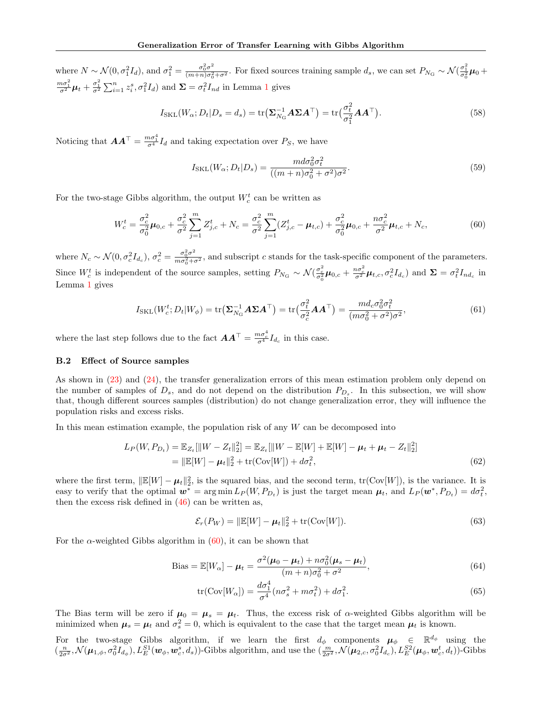where  $N \sim \mathcal{N}(0, \sigma_1^2 I_d)$ , and  $\sigma_1^2 = \frac{\sigma_0^2 \sigma^2}{(m+n)\sigma_0^2}$  $\frac{\sigma_0^2 \sigma^2}{(m+n)\sigma_0^2 + \sigma^2}$ . For fixed sources training sample  $d_s$ , we can set  $P_{N_G} \sim \mathcal{N}(\frac{\sigma_1^2}{\sigma_0^2}\boldsymbol{\mu}_0 +$  $\frac{m\sigma_1^2}{\sigma^2}\mu_t + \frac{\sigma_1^2}{\sigma^2}\sum_{i=1}^n z_i^s, \sigma_1^2 I_d$  $\frac{m\sigma_1^2}{\sigma^2}\mu_t + \frac{\sigma_1^2}{\sigma^2}\sum_{i=1}^n z_i^s, \sigma_1^2 I_d$  $\frac{m\sigma_1^2}{\sigma^2}\mu_t + \frac{\sigma_1^2}{\sigma^2}\sum_{i=1}^n z_i^s, \sigma_1^2 I_d$  and  $\Sigma = \sigma_t^2 I_{nd}$  in Lemma 1 gives

$$
I_{\text{SKL}}(W_{\alpha}; D_t | D_s = d_s) = \text{tr}(\Sigma_{N_G}^{-1} A \Sigma A^{\top}) = \text{tr}(\frac{\sigma_t^2}{\sigma_1^2} A A^{\top}).
$$
\n(58)

Noticing that  $\boldsymbol{A}\boldsymbol{A}^{\top} = \frac{m\sigma_1^4}{\sigma_1^4}I_d$  and taking expectation over  $P_S$ , we have

<span id="page-13-0"></span>
$$
I_{\text{SKL}}(W_{\alpha}; D_t | D_s) = \frac{md\sigma_0^2 \sigma_t^2}{((m+n)\sigma_0^2 + \sigma^2)\sigma^2}.
$$
\n
$$
(59)
$$

For the two-stage Gibbs algorithm, the output  $W_c^t$  can be written as

$$
W_c^t = \frac{\sigma_c^2}{\sigma_0^2} \mu_{0,c} + \frac{\sigma_c^2}{\sigma^2} \sum_{j=1}^m Z_{j,c}^t + N_c = \frac{\sigma_c^2}{\sigma^2} \sum_{j=1}^m (Z_{j,c}^t - \mu_{t,c}) + \frac{\sigma_c^2}{\sigma_0^2} \mu_{0,c} + \frac{n \sigma_c^2}{\sigma^2} \mu_{t,c} + N_c,
$$
(60)

where  $N_c \sim \mathcal{N}(0, \sigma_c^2 I_{d_c}), \sigma_c^2 = \frac{\sigma_0^2 \sigma^2}{m \sigma_0^2 + c}$  $\frac{\sigma_0 \sigma}{m \sigma_0^2 + \sigma^2}$ , and subscript c stands for the task-specific component of the parameters. Since  $W_c^t$  is independent of the source samples, setting  $P_{N_G} \sim \mathcal{N}(\frac{\sigma_c^2}{\sigma_0^2}\mu_{0,c} + \frac{n\sigma_c^2}{\sigma^2}\mu_{t,c}, \sigma_c^2I_{d_c})$  and  $\Sigma = \sigma_t^2I_{nd_c}$  in Lemma [1](#page-12-1) gives

$$
I_{\text{SKL}}(W_c^t; D_t | W_{\phi}) = \text{tr}\left(\Sigma_{N_G}^{-1} A \Sigma A^{\top}\right) = \text{tr}\left(\frac{\sigma_t^2}{\sigma_c^2} A A^{\top}\right) = \frac{m d_c \sigma_0^2 \sigma_t^2}{(m \sigma_0^2 + \sigma^2) \sigma^2},\tag{61}
$$

where the last step follows due to the fact  $\boldsymbol{A}\boldsymbol{A}^{\top} = \frac{m\sigma_c^4}{\sigma^4}I_{d_c}$  in this case.

## B.2 Effect of Source samples

As shown in [\(23\)](#page-4-2) and [\(24\)](#page-5-0), the transfer generalization errors of this mean estimation problem only depend on the number of samples of  $D_s$ , and do not depend on the distribution  $P_{D_s}$ . In this subsection, we will show that, though different sources samples (distribution) do not change generalization error, they will influence the population risks and excess risks.

In this mean estimation example, the population risk of any  $W$  can be decomposed into

$$
L_P(W, P_{D_t}) = \mathbb{E}_{Z_t}[\|W - Z_t\|_2^2] = \mathbb{E}_{Z_t}[\|W - \mathbb{E}[W] + \mathbb{E}[W] - \mu_t + \mu_t - Z_t\|_2^2]
$$
  
= 
$$
\|\mathbb{E}[W] - \mu_t\|_2^2 + \text{tr}(\text{Cov}[W]) + d\sigma_t^2,
$$
 (62)

where the first term,  $\|\mathbb{E}[W] - \mu_t\|_2^2$ , is the squared bias, and the second term,  $tr(Cov[W])$ , is the variance. It is easy to verify that the optimal  $w^* = \arg \min L_P(W, P_{D_t})$  is just the target mean  $\mu_t$ , and  $L_P(w^*, P_{D_t}) = d\sigma_t^2$ , then the excess risk defined in  $(46)$  can be written as,

$$
\mathcal{E}_r(P_W) = \|\mathbb{E}[W] - \mu_t\|_2^2 + \text{tr}(\text{Cov}[W]).
$$
\n(63)

For the  $\alpha$ -weighted Gibbs algorithm in [\(60\)](#page-13-0), it can be shown that

Bias = 
$$
\mathbb{E}[W_{\alpha}] - \mu_t = \frac{\sigma^2(\mu_0 - \mu_t) + n\sigma_0^2(\mu_s - \mu_t)}{(m+n)\sigma_0^2 + \sigma^2},
$$
 (64)

$$
\text{tr}(\text{Cov}[W_{\alpha}]) = \frac{d\sigma_1^4}{\sigma^4}(n\sigma_s^2 + m\sigma_t^2) + d\sigma_1^2. \tag{65}
$$

The Bias term will be zero if  $\mu_0 = \mu_s = \mu_t$ . Thus, the excess risk of  $\alpha$ -weighted Gibbs algorithm will be minimized when  $\mu_s = \mu_t$  and  $\sigma_s^2 = 0$ , which is equivalent to the case that the target mean  $\mu_t$  is known.

For the two-stage Gibbs algorithm, if we learn the first  $d_{\phi}$  components  $\mu_{\phi} \in \mathbb{R}^{d_{\phi}}$  using the  $(\frac{n}{2\sigma^2}, \mathcal{N}(\mu_{1,\phi}, \sigma_0^2 I_{d_{\phi}}), L_E^{S1}(\mathbf{w}_{\phi}, \mathbf{w}_c^s, d_s))$ -Gibbs algorithm, and use the  $(\frac{m}{2\sigma^2}, \mathcal{N}(\mu_{2,c}, \sigma_0^2 I_{d_c}), L_E^{S2}(\mu_{\phi}, \mathbf{w}_c^t, d_t))$ -Gibbs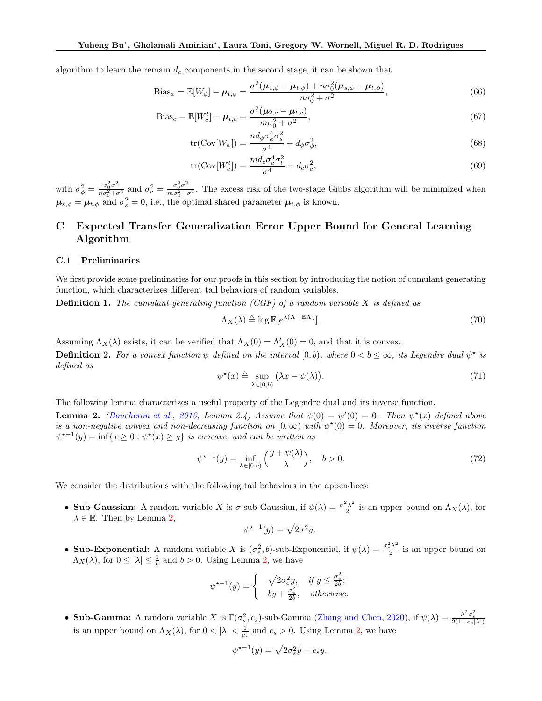algorithm to learn the remain  $d_c$  components in the second stage, it can be shown that

Bias<sub>$$
\phi
$$</sub> =  $\mathbb{E}[W_{\phi}] - \mu_{t,\phi} = \frac{\sigma^2(\mu_{1,\phi} - \mu_{t,\phi}) + n\sigma_0^2(\mu_{s,\phi} - \mu_{t,\phi})}{n\sigma_0^2 + \sigma^2},$  (66)

Bias<sub>c</sub> = 
$$
\mathbb{E}[W_c^t] - \mu_{t,c} = \frac{\sigma^2(\mu_{2,c} - \mu_{t,c})}{m\sigma_0^2 + \sigma^2},
$$
 (67)

$$
\text{tr}(\text{Cov}[W_{\phi}]) = \frac{nd_{\phi}\sigma_{\phi}^4 \sigma_{s}^2}{\sigma^4} + d_{\phi}\sigma_{\phi}^2,\tag{68}
$$

$$
\text{tr}(\text{Cov}[W_c^t]) = \frac{md_c\sigma_c^4\sigma_t^2}{\sigma^4} + d_c\sigma_c^2,\tag{69}
$$

with  $\sigma_{\phi}^2 = \frac{\sigma_0^2 \sigma^2}{n \sigma_0^2 + c}$  $\frac{\sigma_0^2 \sigma^2}{n \sigma_0^2 + \sigma^2}$  and  $\sigma_c^2 = \frac{\sigma_0^2 \sigma^2}{m \sigma_0^2 + \sigma^2}$  $\frac{\sigma_0 \sigma}{m \sigma_0^2 + \sigma^2}$ . The excess risk of the two-stage Gibbs algorithm will be minimized when  $\mu_{s,\phi} = \mu_{t,\phi}$  and  $\sigma_s^2 = 0$ , i.e., the optimal shared parameter  $\mu_{t,\phi}$  is known.

# <span id="page-14-0"></span>C Expected Transfer Generalization Error Upper Bound for General Learning Algorithm

#### C.1 Preliminaries

We first provide some preliminaries for our proofs in this section by introducing the notion of cumulant generating function, which characterizes different tail behaviors of random variables.

**Definition 1.** The cumulant generating function (CGF) of a random variable X is defined as

$$
\Lambda_X(\lambda) \triangleq \log \mathbb{E}[e^{\lambda(X - \mathbb{E}X)}].
$$
\n(70)

Assuming  $\Lambda_X(\lambda)$  exists, it can be verified that  $\Lambda_X(0) = \Lambda'_X(0) = 0$ , and that it is convex.

**Definition 2.** For a convex function  $\psi$  defined on the interval  $[0,b)$ , where  $0 < b \leq \infty$ , its Legendre dual  $\psi^*$  is defined as

$$
\psi^{\star}(x) \triangleq \sup_{\lambda \in [0,b)} (\lambda x - \psi(\lambda)). \tag{71}
$$

The following lemma characterizes a useful property of the Legendre dual and its inverse function.

<span id="page-14-1"></span>**Lemma 2.** [\(Boucheron et al.,](#page-9-20) [2013,](#page-9-20) Lemma 2.4) Assume that  $\psi(0) = \psi'(0) = 0$ . Then  $\psi^*(x)$  defined above is a non-negative convex and non-decreasing function on  $[0, \infty)$  with  $\psi^*(0) = 0$ . Moreover, its inverse function  $\psi^{*-1}(y) = \inf\{x \geq 0 : \psi^*(x) \geq y\}$  is concave, and can be written as

$$
\psi^{\star -1}(y) = \inf_{\lambda \in [0,b)} \left( \frac{y + \psi(\lambda)}{\lambda} \right), \quad b > 0.
$$
\n(72)

We consider the distributions with the following tail behaviors in the appendices:

• Sub-Gaussian: A random variable X is  $\sigma$ -sub-Gaussian, if  $\psi(\lambda) = \frac{\sigma^2 \lambda^2}{2}$  $\frac{X^2}{2}$  is an upper bound on  $\Lambda_X(\lambda)$ , for  $\lambda \in \mathbb{R}$ . Then by Lemma [2,](#page-14-1)

$$
\psi^{\star -1}(y) = \sqrt{2\sigma^2 y}.
$$

• Sub-Exponential: A random variable X is  $(\sigma_e^2, b)$ -sub-Exponential, if  $\psi(\lambda) = \frac{\sigma_e^2 \lambda^2}{2}$  $\frac{1}{2}$  is an upper bound on  $\Lambda_X(\lambda)$ , for  $0 \leq |\lambda| \leq \frac{1}{b}$  and  $b > 0$ . Using Lemma [2,](#page-14-1) we have

$$
\psi^{\star -1}(y) = \begin{cases} & \sqrt{2\sigma_e^2 y}, & \text{if } y \le \frac{\sigma_e^2}{2b}; \\ & by + \frac{\sigma_e^2}{2b}, & \text{otherwise.} \end{cases}
$$

• Sub-Gamma: A random variable X is  $\Gamma(\sigma_s^2, c_s)$ -sub-Gamma [\(Zhang and Chen](#page-10-18), [2020](#page-10-18)), if  $\psi(\lambda) = \frac{\lambda^2 \sigma_s^2}{2(1-c_s|\lambda|)}$ is an upper bound on  $\Lambda_X(\lambda)$ , for  $0 < |\lambda| < \frac{1}{c_s}$  and  $c_s > 0$ . Using Lemma [2,](#page-14-1) we have

$$
\psi^{\star -1}(y) = \sqrt{2\sigma_s^2 y} + c_s y.
$$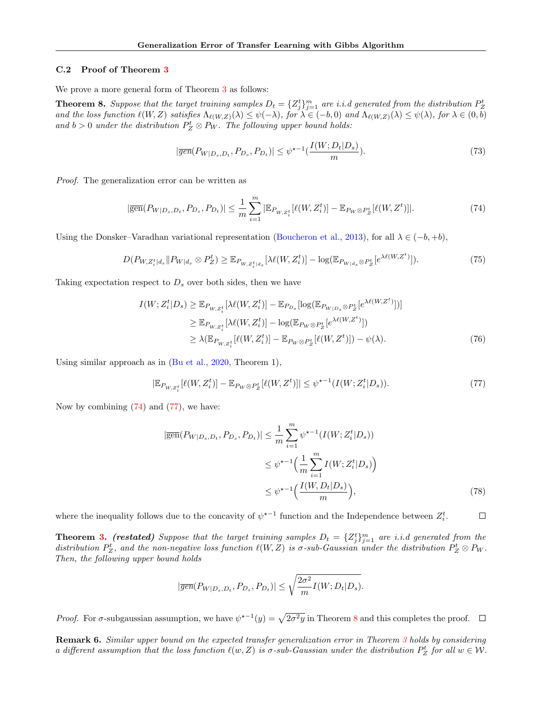#### C.2 Proof of Theorem [3](#page-5-2)

We prove a more general form of Theorem [3](#page-5-2) as follows:

<span id="page-15-2"></span>**Theorem 8.** Suppose that the target training samples  $D_t = \{Z_j^t\}_{j=1}^m$  are i.i.d generated from the distribution  $P_Z^t$ and the loss function  $\ell(W, Z)$  satisfies  $\Lambda_{\ell(W, Z)}(\lambda) \leq \psi(-\lambda)$ , for  $\lambda \in (-b, 0)$  and  $\Lambda_{\ell(W, Z)}(\lambda) \leq \psi(\lambda)$ , for  $\lambda \in (0, b)$ and  $b > 0$  under the distribution  $P_Z^t \otimes P_W$ . The following upper bound holds:

<span id="page-15-0"></span>
$$
|\overline{gen}(P_{W|D_s,D_t}, P_{D_s}, P_{D_t})| \leq \psi^{\star - 1} \left(\frac{I(W;D_t|D_s)}{m}\right). \tag{73}
$$

Proof. The generalization error can be written as

$$
|\overline{\text{gen}}(P_{W|D_s,D_t}, P_{D_s}, P_{D_t})| \le \frac{1}{m} \sum_{i=1}^m |\mathbb{E}_{P_{W,Z_i^t}}[\ell(W, Z_i^t)] - \mathbb{E}_{P_W \otimes P_Z^t}[\ell(W, Z^t)]|.
$$
 (74)

Using the Donsker–Varadhan variational representation [\(Boucheron et al.](#page-9-20), [2013](#page-9-20)), for all  $\lambda \in (-b, +b)$ ,

$$
D(P_{W,Z_i^t|d_s} \| P_{W|d_s} \otimes P_Z^t) \geq \mathbb{E}_{P_{W,Z_i^t|d_s}}[\lambda \ell(W,Z_i^t)] - \log(\mathbb{E}_{P_{W|d_s} \otimes P_Z^t}[e^{\lambda \ell(W,Z^t)}]).
$$
\n(75)

Taking expectation respect to  $D_s$  over both sides, then we have

$$
I(W; Z_i^t | D_s) \geq \mathbb{E}_{P_{W, Z_i^t}}[\lambda \ell(W, Z_i^t)] - \mathbb{E}_{P_{D_s}}[\log(\mathbb{E}_{P_{W|D_s} \otimes P_Z^t}[e^{\lambda \ell(W, Z^t)}])]
$$
  
\n
$$
\geq \mathbb{E}_{P_{W, Z_i^t}}[\lambda \ell(W, Z_i^t)] - \log(\mathbb{E}_{P_W \otimes P_Z^t}[e^{\lambda \ell(W, Z^t)}])
$$
  
\n
$$
\geq \lambda(\mathbb{E}_{P_{W, Z_i^t}}[\ell(W, Z_i^t)] - \mathbb{E}_{P_W \otimes P_Z^t}[\ell(W, Z^t)]) - \psi(\lambda).
$$
\n(76)

Using similar approach as in [\(Bu et al.](#page-9-21), [2020](#page-9-21), Theorem 1),

$$
|\mathbb{E}_{P_{W,Z_i^t}}[\ell(W,Z_i^t)] - \mathbb{E}_{P_W \otimes P_Z^t}[\ell(W,Z^t)]| \le \psi^{\star - 1}(I(W;Z_i^t|D_s)).
$$
\n(77)

Now by combining [\(74\)](#page-15-0) and [\(77\)](#page-15-1), we have:

<span id="page-15-1"></span>
$$
|\overline{\text{gen}}(P_{W|D_s, D_t}, P_{D_s}, P_{D_t})| \le \frac{1}{m} \sum_{i=1}^m \psi^{\star -1}(I(W; Z_i^t | D_s))
$$
  

$$
\le \psi^{\star -1}\Big(\frac{1}{m} \sum_{i=1}^m I(W; Z_i^t | D_s)\Big)
$$
  

$$
\le \psi^{\star -1}\Big(\frac{I(W, D_t | D_s)}{m}\Big),
$$
 (78)

where the inequality follows due to the concavity of  $\psi^{*-1}$  function and the Independence between  $Z_i^t$ .  $\Box$ 

**Theorem [3.](#page-5-2)** (restated) Suppose that the target training samples  $D_t = \{Z_j^t\}_{j=1}^m$  are i.i.d generated from the distribution  $P_Z^t$ , and the non-negative loss function  $\ell(W, Z)$  is  $\sigma$ -sub-Gaussian under the distribution  $P_Z^t \otimes P_W$ . Then, the following upper bound holds

$$
|\overline{gen}(P_{W|D_s,D_t},P_{D_s},P_{D_t})|\leq \sqrt{\frac{2\sigma^2}{m}I(W;D_t|D_s)}.
$$

Proof. For  $\sigma$ -subgaussian assumption, we have  $\psi^{*-1}(y) = \sqrt{2\sigma^2 y}$  in Theorem [8](#page-15-2) and this completes the proof.

Remark 6. Similar upper bound on the expected transfer generalization error in Theorem [3](#page-5-2) holds by considering a different assumption that the loss function  $\ell(w, Z)$  is  $\sigma$ -sub-Gaussian under the distribution  $P_Z^t$  for all  $w \in \mathcal{W}$ .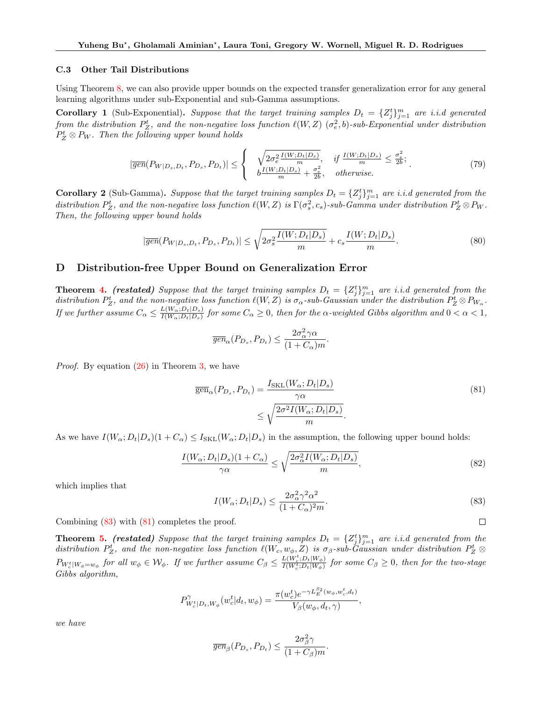#### C.3 Other Tail Distributions

Using Theorem [8,](#page-15-2) we can also provide upper bounds on the expected transfer generalization error for any general learning algorithms under sub-Exponential and sub-Gamma assumptions.

**Corollary 1** (Sub-Exponential). Suppose that the target training samples  $D_t = \{Z_j^t\}_{j=1}^m$  are i.i.d generated from the distribution  $P_Z^t$ , and the non-negative loss function  $\ell(W,Z)$   $(\sigma_e^2,b)$ -sub-Exponential under distribution  $P_Z^t \otimes P_W$ . Then the following upper bound holds

$$
|\overline{gen}(P_{W|D_s,D_t}, P_{D_s}, P_{D_t})| \leq \begin{cases} \sqrt{2\sigma_e^2 \frac{I(W;D_t|D_s)}{m}}, & \text{if } \frac{I(W;D_t|D_s)}{m} \leq \frac{\sigma_e^2}{2b};\\ b \frac{I(W;D_t|D_s)}{m} + \frac{\sigma_e^2}{2b}, & \text{otherwise.} \end{cases}
$$
(79)

**Corollary 2** (Sub-Gamma). Suppose that the target training samples  $D_t = \{Z_j^t\}_{j=1}^m$  are i.i.d generated from the distribution  $P_Z^t$ , and the non-negative loss function  $\ell(W, Z)$  is  $\Gamma(\sigma_s^2, c_s)$ -sub-Gamma under distribution  $P_Z^t \otimes P_W$ . Then, the following upper bound holds

$$
|\overline{gen}(P_{W|D_s,D_t}, P_{D_s}, P_{D_t})| \le \sqrt{2\sigma_s^2 \frac{I(W;D_t|D_s)}{m}} + c_s \frac{I(W;D_t|D_s)}{m}.
$$
\n
$$
(80)
$$

# <span id="page-16-0"></span>D Distribution-free Upper Bound on Generalization Error

**Theorem [4.](#page-5-3)** (restated) Suppose that the target training samples  $D_t = \{Z_j^t\}_{j=1}^m$  are i.i.d generated from the distribution  $P_Z^t$ , and the non-negative loss function  $\ell(W, Z)$  is  $\sigma_{\alpha}$ -sub-Gaussian under the distribution  $P_Z^t \otimes P_{W_{\alpha}}$ . If we further assume  $C_{\alpha} \leq \frac{L(W_{\alpha}; D_t|D_s)}{I(W_{\alpha}; D_t|D_s)}$  $\frac{L(W_\alpha;D_t|D_s)}{I(W_\alpha;D_t|D_s)}$  for some  $C_\alpha\geq 0$ , then for the  $\alpha$ -weighted Gibbs algorithm and  $0<\alpha< 1,$ 

$$
\overline{gen}_{\alpha}(P_{D_s}, P_{D_t}) \le \frac{2\sigma_{\alpha}^2\gamma\alpha}{(1 + C_{\alpha})m}
$$

Proof. By equation [\(26\)](#page-5-5) in Theorem [3,](#page-5-2) we have

$$
\overline{\text{gen}}_{\alpha}(P_{D_s}, P_{D_t}) = \frac{I_{SKL}(W_{\alpha}; D_t | D_s)}{\gamma \alpha} \le \sqrt{\frac{2\sigma^2 I(W_{\alpha}; D_t | D_s)}{m}}.
$$
\n(81)

.

As we have  $I(W_\alpha; D_t|D_s)(1+C_\alpha) \leq I_{SKL}(W_\alpha; D_t|D_s)$  in the assumption, the following upper bound holds:

$$
\frac{I(W_{\alpha}; D_t|D_s)(1+C_{\alpha})}{\gamma \alpha} \le \sqrt{\frac{2\sigma_{\alpha}^2 I(W_{\alpha}; D_t|D_s)}{m}},\tag{82}
$$

which implies that

<span id="page-16-1"></span>
$$
I(W_{\alpha}; D_t | D_s) \le \frac{2\sigma_{\alpha}^2 \gamma^2 \alpha^2}{(1 + C_{\alpha})^2 m}.
$$
\n(83)

<span id="page-16-2"></span> $\Box$ 

,

Combining [\(83\)](#page-16-1) with [\(81\)](#page-16-2) completes the proof.

**Theorem [5.](#page-5-4)** (restated) Suppose that the target training samples  $D_t = \{Z_j^t\}_{j=1}^m$  are i.i.d generated from the distribution  $P_Z^t$ , and the non-negative loss function  $\ell(W_c, w_{\phi}, Z)$  is  $\sigma_{\beta}$ -sub-Gaussian under distribution  $P_Z^t \otimes$  $P_{W_c^t|W_{\phi}=w_{\phi}}$  for all  $w_{\phi} \in \mathcal{W}_{\phi}$ . If we further assume  $C_{\beta} \leq \frac{L(W_c^t; D_t|W_{\phi})}{I(W_c^t; D_t|W_{\phi})}$  $\frac{E(W_c; D_t|W_{\phi})}{I(W_c^t; D_t|W_{\phi})}$  for some  $C_{\beta} \geq 0$ , then for the two-stage Gibbs algorithm,

$$
P^{\gamma}_{W_c^t|D_t,W_\phi}(w_c^t|d_t,w_\phi) = \frac{\pi(w_c^t)e^{-\gamma L_E^{S_2}(w_\phi,w_c^t,d_t)}}{V_\beta(w_\phi,d_t,\gamma)}
$$

we have

$$
\overline{gen}_{\beta}(P_{D_s}, P_{D_t}) \leq \frac{2\sigma_{\beta}^2\gamma}{(1+C_{\beta})m}.
$$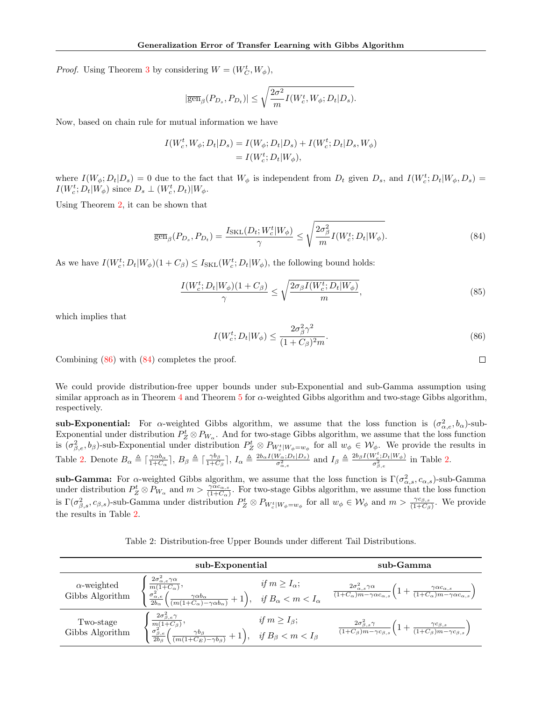*Proof.* Using Theorem [3](#page-5-2) by considering  $W = (W_C^t, W_{\phi}),$ 

$$
|\overline{\text{gen}}_\beta(P_{D_s},P_{D_t})|\leq \sqrt{\frac{2\sigma^2}{m}I(W_c^t,W_\phi;D_t|D_s)}.
$$

Now, based on chain rule for mutual information we have

$$
I(W_c^t, W_{\phi}; D_t | D_s) = I(W_{\phi}; D_t | D_s) + I(W_c^t; D_t | D_s, W_{\phi})
$$
  
=  $I(W_c^t; D_t | W_{\phi}),$ 

where  $I(W_{\phi}; D_t | D_s) = 0$  due to the fact that  $W_{\phi}$  is independent from  $D_t$  given  $D_s$ , and  $I(W_c^t; D_t | W_{\phi}, D_s) =$  $I(W_c^t; D_t|W_\phi)$  since  $D_s \perp (W_c^t, D_t)|W_\phi$ .

Using Theorem [2,](#page-4-1) it can be shown that

$$
\overline{\text{gen}}_{\beta}(P_{D_s}, P_{D_t}) = \frac{I_{\text{SKL}}(D_t; W_c^t | W_{\phi})}{\gamma} \le \sqrt{\frac{2\sigma_{\beta}^2}{m}} I(W_c^t; D_t | W_{\phi}).\tag{84}
$$

As we have  $I(W_c^t; D_t | W_{\phi})(1 + C_{\beta}) \leq I_{SKL}(W_c^t; D_t | W_{\phi}),$  the following bound holds:

$$
\frac{I(W_c^t; D_t|W_{\phi})(1+C_{\beta})}{\gamma} \le \sqrt{\frac{2\sigma_{\beta}I(W_c^t; D_t|W_{\phi})}{m}},\tag{85}
$$

which implies that

<span id="page-17-0"></span>
$$
I(W_c^t; D_t|W_{\phi}) \le \frac{2\sigma_{\beta}^2\gamma^2}{(1 + C_{\beta})^2 m}.
$$
\n
$$
(86)
$$

Combining [\(86\)](#page-17-0) with [\(84\)](#page-17-1) completes the proof.

We could provide distribution-free upper bounds under sub-Exponential and sub-Gamma assumption using similar approach as in Theorem  $4$  and Theorem  $5$  for  $\alpha$ -weighted Gibbs algorithm and two-stage Gibbs algorithm, respectively.

sub-Exponential: For  $\alpha$ -weighted Gibbs algorithm, we assume that the loss function is  $(\sigma_{\alpha,e}^2, b_\alpha)$ -sub-Exponential under distribution  $P_Z^t \otimes P_{W_\alpha}$ . And for two-stage Gibbs algorithm, we assume that the loss function is  $(\sigma_{\beta,e}^2, b_\beta)$ -sub-Exponential under distribution  $P_Z^t \otimes P_{W_c^t|W_{\phi}=w_{\phi}}$  for all  $w_{\phi} \in W_{\phi}$ . We provide the results in Table [2.](#page-17-2) Denote  $B_{\alpha} \triangleq \lceil \frac{\gamma \alpha b_{\alpha}}{1+C_{\alpha}} \rceil$ ,  $B_{\beta} \triangleq \lceil \frac{\gamma b_{\beta}}{1+C_{\beta}} \rceil$  $\frac{\gamma b_\beta}{1+C_\beta}$ ,  $I_\alpha \triangleq \frac{2b_\alpha I(W_\alpha; D_t|D_s)}{\sigma_{\alpha,e}^2}$  and  $I_\beta \triangleq \frac{2b_\beta I(W_c^t; D_t|W_\phi)}{\sigma_{\beta,e}^2}$  $\frac{\sigma_{e}^{2} D_{t} |W_{\phi}|}{\sigma_{\beta,e}^{2}}$  in Table [2.](#page-17-2)

sub-Gamma: For  $\alpha$ -weighted Gibbs algorithm, we assume that the loss function is  $\Gamma(\sigma_{\alpha,s}^2,c_{\alpha,s})$ -sub-Gamma under distribution  $P_Z^t \otimes P_{W_\alpha}$  and  $m > \frac{\gamma \alpha c_{\alpha,s}}{(1+C_\alpha)}$ . For two-stage Gibbs algorithm, we assume that the loss function is  $\Gamma(\sigma_{\beta,s}^2,c_{\beta,s})$ -sub-Gamma under distribution  $P_Z^t \otimes P_{W_c^t|W_{\phi}=w_{\phi}}$  for all  $w_{\phi} \in W_{\phi}$  and  $m > \frac{\gamma c_{\beta,s}}{(1+C_{\beta})}$ . We provide the results in Table [2.](#page-17-2)

<span id="page-17-2"></span>Table 2: Distribution-free Upper Bounds under different Tail Distributions.

|                                       | sub-Exponential                                                                                                                                                                                                                                                          |                          | sub-Gamma                                                                                                                                                                      |
|---------------------------------------|--------------------------------------------------------------------------------------------------------------------------------------------------------------------------------------------------------------------------------------------------------------------------|--------------------------|--------------------------------------------------------------------------------------------------------------------------------------------------------------------------------|
| $\alpha$ -weighted<br>Gibbs Algorithm | $\frac{2\sigma_{\alpha,e}^2\gamma\alpha}{m(1+C_\alpha)},$<br>$\frac{\sigma_{\alpha,e}^2}{2b_\alpha}$<br>$\Big(\tfrac{\gamma\alpha b_\alpha}{(m(1+C_\alpha)-\gamma\alpha b_\alpha)}+1\Big),\quad \textit{if } B_\alpha< m< I_\alpha$                                      | if $m \geq I_{\alpha}$ ; | $\frac{2\sigma_{\alpha,s}^2\gamma\alpha}{(1+C_{\alpha})m-\gamma\alpha c_{\alpha,s}}\left(1+\frac{\gamma\alpha c_{\alpha,s}}{(1+C_{\alpha})m-\gamma\alpha c_{\alpha,s}}\right)$ |
| Two-stage<br>Gibbs Algorithm          | $\frac{2\sigma_{\beta,e}^2\gamma}{\frac{m(1+C_{\beta})}{2b_{\beta}}},\quad \frac{\sigma_{\beta,e}^2}{2b_{\beta}}\bigg(\frac{\pi}{\sqrt{m(1+\beta)}}\bigg),$<br>$\left(\frac{\gamma b_\beta}{(m(1+C_E)-\gamma b_\beta)}+1\right), \quad \text{if } B_\beta < m < I_\beta$ | if $m \geq I_{\beta}$ ;  | $\frac{2\sigma_{\beta,s}^2\gamma}{(1+C_\beta)m-\gamma c_{\beta,s}}\left(1+\frac{\gamma c_{\beta,s}}{(1+C_\beta)m-\gamma c_{\beta,s}}\right)$                                   |

<span id="page-17-1"></span> $\Box$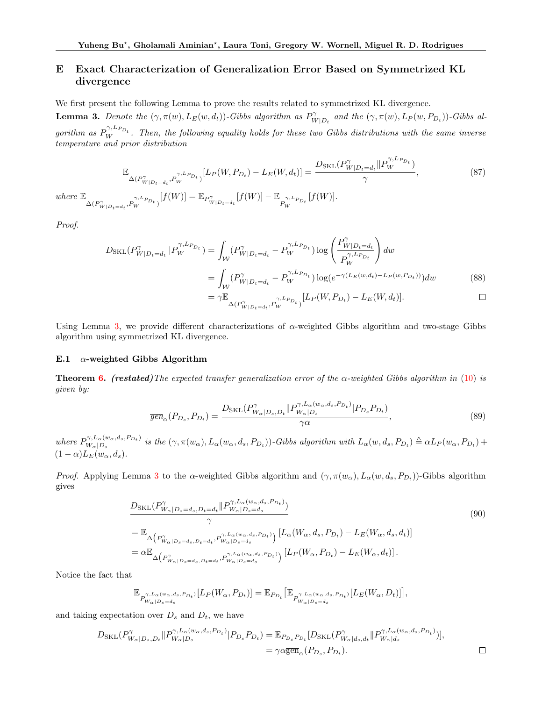# <span id="page-18-0"></span>E Exact Characterization of Generalization Error Based on Symmetrized KL divergence

We first present the following Lemma to prove the results related to symmetrized KL divergence.

<span id="page-18-1"></span>**Lemma 3.** Denote the  $(\gamma, \pi(w), L_E(w, d_t))$ -Gibbs algorithm as  $P_W^{\gamma}$  $W_{W|D_t}$  and the  $(\gamma, \pi(w), L_P(w, P_{D_t}))$ -Gibbs algorithm as  $P_W^{\gamma, L_{P_{D_t}}}$ . Then, the following equality holds for these two Gibbs distributions with the same inverse temperature and prior distribution

$$
\mathbb{E}_{\Delta(P_{W|D_t=d_t}^{\gamma}, P_{W}^{\gamma, L_{P_{D_t}}})}[L_P(W, P_{D_t}) - L_E(W, d_t)] = \frac{D_{SKL}(P_{W|D_t=d_t}^{\gamma} || P_{W}^{\gamma, L_{P_{D_t}}})}{\gamma},
$$
\nwhere 
$$
\mathbb{E}_{\Delta(P_{W|D_t=d_t}^{\gamma, L_{P_{D_t}}})}[f(W)] = \mathbb{E}_{P_{W|D_t=d_t}^{\gamma}}[f(W)] - \mathbb{E}_{P_{W}^{\gamma, L_{P_{D_t}}}}[f(W)].
$$
\n(87)

Proof.

$$
D_{SKL}(P_{W|D_t=d_t}^{\gamma} \| P_W^{\gamma, L_{P_{D_t}}}) = \int_W (P_{W|D_t=d_t}^{\gamma} - P_W^{\gamma, L_{P_{D_t}}}) \log \left( \frac{P_{W|D_t=d_t}^{\gamma}}{P_W^{\gamma, L_{P_{D_t}}}} \right) dw
$$
  
= 
$$
\int_W (P_{W|D_t=d_t}^{\gamma} - P_W^{\gamma, L_{P_{D_t}}}) \log (e^{-\gamma (L_E(w,d_t) - L_P(w, P_{D_t}))}) dw
$$
  
= 
$$
\gamma \mathbb{E}_{\Delta(P_{W|D_t=d_t}^{\gamma}, P_W^{\gamma, L_{P_{D_t}}})} [L_P(W, P_{D_t}) - L_E(W, d_t)].
$$
 (88)

Using Lemma [3,](#page-18-1) we provide different characterizations of  $\alpha$ -weighted Gibbs algorithm and two-stage Gibbs algorithm using symmetrized KL divergence.

#### E.1  $\alpha$ -weighted Gibbs Algorithm

**Theorem [6.](#page-6-1)** (restated)The expected transfer generalization error of the  $\alpha$ -weighted Gibbs algorithm in [\(10\)](#page-2-4) is given by:

$$
\overline{gen}_{\alpha}(P_{D_s}, P_{D_t}) = \frac{D_{SKL}(P_{W_{\alpha}|D_s, D_t}^{\gamma} || P_{W_{\alpha}|D_s}^{\gamma, L_{\alpha}(w_{\alpha}, d_s, P_{D_t})} | P_{D_s} P_{D_t})}{\gamma \alpha},\tag{89}
$$

where  $P_{W_{-}|D_{-}}^{\gamma,L_{\alpha}(w_{\alpha},d_{s},P_{D_{t}})}$  $\gamma^{\gamma,L_{\alpha}(w_{\alpha},d_s,P_{D_t})}_{W_{\alpha}|D_s}$  is the  $(\gamma,\pi(w_{\alpha}),L_{\alpha}(w_{\alpha},d_s,P_{D_t}))$ -Gibbs algorithm with  $L_{\alpha}(w,d_s,P_{D_t}) \triangleq \alpha L_P(w_{\alpha},P_{D_t}) +$  $(1 - \alpha) L_E(w_\alpha, d_s).$ 

*Proof.* Applying Lemma [3](#page-18-1) to the α-weighted Gibbs algorithm and  $(\gamma, \pi(w_\alpha), L_\alpha(w, d_s, P_{D_t}))$ -Gibbs algorithm gives

$$
\frac{D_{SKL}(P_{W_{\alpha}|D_{s}=d_{s},D_{t}=d_{t}}^{\gamma}|P_{W_{\alpha}|D_{s}=d_{s}}^{\gamma,L_{\alpha}(w_{\alpha},d_{s},P_{D_{t}})})}{\gamma}
$$
\n
$$
=\mathbb{E}_{\Delta\left(P_{W_{\alpha}|D_{s}=d_{s},D_{t}=d_{t}},P_{W_{\alpha}|D_{s}=d_{s}}^{\gamma,L_{\alpha}(w_{\alpha},d_{s},P_{D_{t}})}\right)}\left[L_{\alpha}(W_{\alpha},d_{s},P_{D_{t}})-L_{E}(W_{\alpha},d_{s},d_{t})\right]
$$
\n
$$
=\alpha\mathbb{E}_{\Delta\left(P_{W_{\alpha}|D_{s}=d_{s},D_{t}=d_{t}},P_{W_{\alpha}|D_{s}=d_{s}}^{\gamma,L_{\alpha}(w_{\alpha},d_{s},P_{D_{t}})}\right)}\left[L_{P}(W_{\alpha},P_{D_{t}})-L_{E}(W_{\alpha},d_{t})\right].
$$
\n(90)

Notice the fact that

$$
\mathbb{E}_{P^{\gamma,L_\alpha(w_\alpha,d_s,P_{D_t})}_{W_\alpha\vert D_s=d_s}}[L_P(W_\alpha,P_{D_t})]=\mathbb{E}_{P_{D_t}}\big[\mathbb{E}_{P^{\gamma,L_\alpha(w_\alpha,d_s,P_{D_t})}_{W_\alpha\vert D_s=d_s}}[L_E(W_\alpha,D_t)]\big],
$$

and taking expectation over  $D_s$  and  $D_t$ , we have

$$
D_{\text{SKL}}(P_{W_{\alpha}|D_s,D_t}^{\gamma}\|P_{W_{\alpha}|D_s}^{\gamma,L_{\alpha}(w_{\alpha},d_s,P_{D_t})}|P_{D_s}P_{D_t}) = \mathbb{E}_{P_{D_s}P_{D_t}}[D_{\text{SKL}}(P_{W_{\alpha}|d_s,d_t}^{\gamma}\|P_{W_{\alpha}|d_s}^{\gamma,L_{\alpha}(w_{\alpha},d_s,P_{D_t})})],
$$
  
=  $\gamma \alpha \overline{\text{gen}}_{\alpha}(P_{D_s},P_{D_t}).$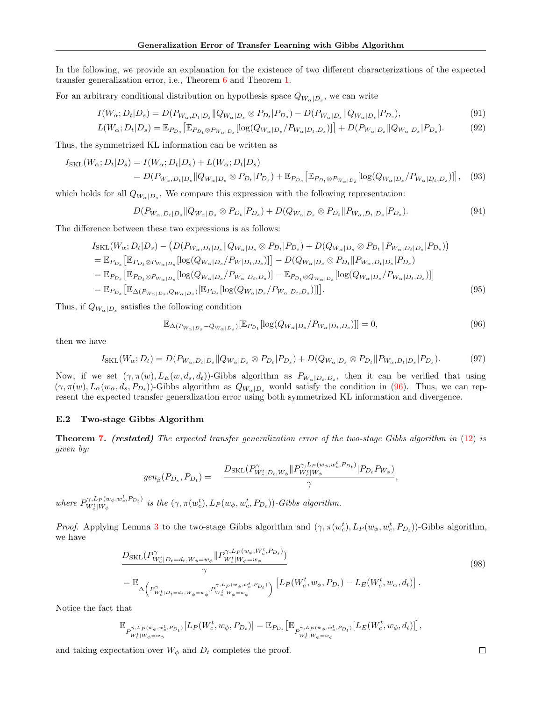In the following, we provide an explanation for the existence of two different characterizations of the expected transfer generalization error, i.e., Theorem [6](#page-6-1) and Theorem [1.](#page-4-0)

For an arbitrary conditional distribution on hypothesis space  $Q_{W_{\alpha}|D_s}$ , we can write

$$
I(W_{\alpha}; D_t|D_s) = D(P_{W_{\alpha}, D_t|D_s} || Q_{W_{\alpha}|D_s} \otimes P_{D_t} | P_{D_s}) - D(P_{W_{\alpha}|D_s} || Q_{W_{\alpha}|D_s} | P_{D_s}),
$$
\n(91)

$$
L(W_{\alpha}; D_t | D_s) = \mathbb{E}_{P_{D_s}} \left[ \mathbb{E}_{P_{D_t} \otimes P_{W_{\alpha} | D_s}} [\log(Q_{W_{\alpha} | D_s} / P_{W_{\alpha} | D_t, D_s})] \right] + D(P_{W_{\alpha} | D_s} || Q_{W_{\alpha} | D_s} | P_{D_s}).
$$
(92)

Thus, the symmetrized KL information can be written as

$$
I_{\text{SKL}}(W_{\alpha}; D_t|D_s) = I(W_{\alpha}; D_t|D_s) + L(W_{\alpha}; D_t|D_s)
$$
  
= 
$$
D(P_{W_{\alpha}, D_t|D_s} || Q_{W_{\alpha}|D_s} \otimes P_{D_t} | P_{D_s}) + \mathbb{E}_{P_{D_s}} [\mathbb{E}_{P_{D_t} \otimes P_{W_{\alpha}|D_s}} [\log(Q_{W_{\alpha}|D_s} / P_{W_{\alpha}|D_t, D_s})]], \quad (93)
$$

which holds for all  $Q_{W_{\alpha}|D_s}$ . We compare this expression with the following representation:

$$
D(P_{W_{\alpha}, D_t|D_s} \| Q_{W_{\alpha}|D_s} \otimes P_{D_t} | P_{D_s}) + D(Q_{W_{\alpha}|D_s} \otimes P_{D_t} \| P_{W_{\alpha}, D_t|D_s} | P_{D_s}).
$$
\n(94)

The difference between these two expressions is as follows:

$$
I_{\text{SKL}}(W_{\alpha}; D_{t}|D_{s}) - \left(D(P_{W_{\alpha},D_{t}|D_{s}}||Q_{W_{\alpha}|D_{s}} \otimes P_{D_{t}}|P_{D_{s}}) + D(Q_{W_{\alpha}|D_{s}} \otimes P_{D_{t}}||P_{W_{\alpha},D_{t}|D_{s}}|P_{D_{s}})\right)
$$
  
\n
$$
= \mathbb{E}_{P_{D_{s}}} [\mathbb{E}_{P_{D_{t}} \otimes P_{W_{\alpha}|D_{s}}} [\log(Q_{W_{\alpha}|D_{s}}/P_{W|D_{t},D_{s}})]] - D(Q_{W_{\alpha}|D_{s}} \otimes P_{D_{t}}||P_{W_{\alpha},D_{t}|D_{s}}|P_{D_{s}})
$$
  
\n
$$
= \mathbb{E}_{P_{D_{s}}} [\mathbb{E}_{P_{D_{t}} \otimes P_{W_{\alpha}|D_{s}}} [\log(Q_{W_{\alpha}|D_{s}}/P_{W_{\alpha}|D_{t},D_{s}})] - \mathbb{E}_{P_{D_{t}} \otimes Q_{W_{\alpha}|D_{s}}} [\log(Q_{W_{\alpha}|D_{s}}/P_{W_{\alpha}|D_{t},D_{s}})]]]
$$
  
\n
$$
= \mathbb{E}_{P_{D_{s}}} [\mathbb{E}_{\Delta(P_{W_{\alpha}|D_{s}}, Q_{W_{\alpha}|D_{s}})} [\mathbb{E}_{P_{D_{t}}} [\log(Q_{W_{\alpha}|D_{s}}/P_{W_{\alpha}|D_{t},D_{s}})]]].
$$
\n(95)

Thus, if  $Q_{W_{\alpha}|D_s}$  satisfies the following condition

<span id="page-19-0"></span>
$$
\mathbb{E}_{\Delta(P_{W_{\alpha}|D_{s}}-Q_{W_{\alpha}|D_{s}})}[\mathbb{E}_{P_{D_{t}}}[log(Q_{W_{\alpha}|D_{s}}/P_{W_{\alpha}|D_{t},D_{s}})]] = 0,
$$
\n(96)

then we have

$$
I_{\text{SKL}}(W_{\alpha}; D_{t}) = D(P_{W_{\alpha}, D_{t}|D_{s}} \| Q_{W_{\alpha}|D_{s}} \otimes P_{D_{t}} | P_{D_{s}}) + D(Q_{W_{\alpha}|D_{s}} \otimes P_{D_{t}} \| P_{W_{\alpha}, D_{t}|D_{s}} | P_{D_{s}}). \tag{97}
$$

Now, if we set  $(\gamma, \pi(w), L_E(w, d_s, d_t))$ -Gibbs algorithm as  $P_{W_\alpha|D_t, D_s}$ , then it can be verified that using  $(\gamma, \pi(w), L_\alpha(w_\alpha, d_s, P_{D_t}))$ -Gibbs algorithm as  $Q_{W_\alpha|D_s}$  would satisfy the condition in [\(96\)](#page-19-0). Thus, we can represent the expected transfer generalization error using both symmetrized KL information and divergence.

#### E.2 Two-stage Gibbs Algorithm

**Theorem [7.](#page-6-3)** (restated) The expected transfer generalization error of the two-stage Gibbs algorithm in [\(12\)](#page-2-2) is given by:

$$
\overline{\text{gen}}_{\beta}(P_{D_s}, P_{D_t}) = \frac{D_{SKL}(P_{W_c^t|D_t, W_{\phi}}^{\gamma} || P_{W_c^t|W_{\phi}}^{\gamma, L_P(w_{\phi}, w_c^t, P_{D_t})} | P_{D_t} P_{W_{\phi}})}{\gamma},
$$

where  $P_{W^t|W_t}^{\gamma, L_P(w_\phi, w_c^t, P_{D_t})}$  $(W_c^{\dagger}|W_{\phi}^{\dagger},W_c,P_{Dt})$  is the  $(\gamma,\pi(w_c^t),L_P(w_{\phi},w_c^t,P_{Dt}))$ -Gibbs algorithm.

*Proof.* Applying Lemma [3](#page-18-1) to the two-stage Gibbs algorithm and  $(\gamma, \pi(w_c^t), L_P(w_\phi, w_c^t, P_{D_t}))$ -Gibbs algorithm, we have

$$
\frac{D_{SKL}(P_{W_c^t|D_t=d_t,W_{\phi}=w_{\phi}}^{\gamma}||P_{W_c^t|W_{\phi}=w_{\phi}}^{\gamma, L_P(w_{\phi},W_c^t,P_{D_t})})}{\gamma}
$$
\n
$$
=\mathbb{E}_{\Delta\left(P_{W_c^t|D_t=d_t,W_{\phi}=w_{\phi}}^{\gamma},P_{W_c^t|W_{\phi}=w_{\phi}}^{\gamma, L_P(w_{\phi},w_{\phi}^t,P_{D_t})}\right)}\left[L_P(W_c^t,w_{\phi},P_{D_t})-L_E(W_c^t,w_{\alpha},d_t)\right].
$$
\n(98)

Notice the fact that

$$
\mathbb{E}_{P_{W_c^t|W_{\phi}=w_{\phi}}^{\gamma, L_P(w_{\phi},w_c^t,P_{D_t})}}[L_P(W_c^t,w_{\phi},P_{D_t})]=\mathbb{E}_{P_{D_t}}\big[\mathbb{E}_{P_{W_c^t|W_{\phi}=w_{\phi}}^{\gamma, L_P(w_{\phi},w_c^t,P_{D_t})}}[L_E(W_c^t,w_{\phi},d_t)]\big],
$$

and taking expectation over  $W_{\phi}$  and  $D_t$  completes the proof.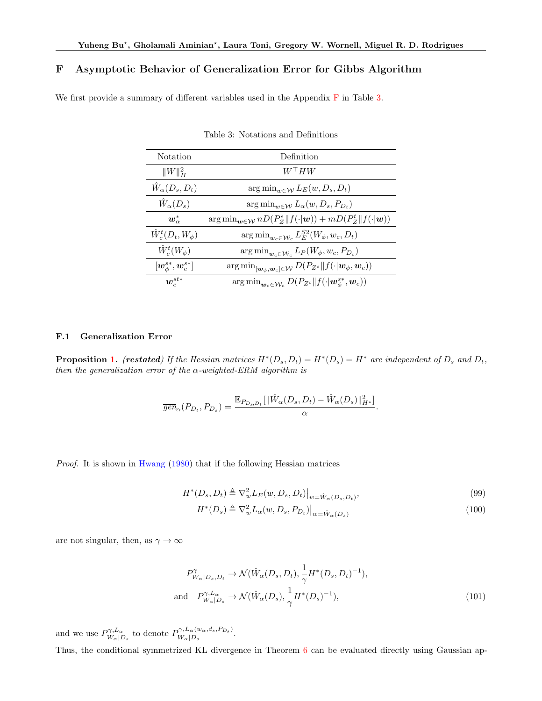# <span id="page-20-1"></span>F Asymptotic Behavior of Generalization Error for Gibbs Algorithm

We first provide a summary of different variables used in the Appendix [F](#page-20-1) in Table [3.](#page-20-2)

| <b>Notation</b>                                         | Definition                                                                                                            |
|---------------------------------------------------------|-----------------------------------------------------------------------------------------------------------------------|
| $  W  _H^2$                                             | $W^+ H W$                                                                                                             |
| $W_{\alpha}(D_s, D_t)$                                  | $\arg\min_{w \in \mathcal{W}} L_E(w, D_s, D_t)$                                                                       |
| $\hat{W}_\alpha(D_s)$                                   | $\arg\min_{w \in \mathcal{W}} L_{\alpha}(w, D_s, P_{D_t})$                                                            |
| $w^*_{\alpha}$                                          | $\arg\min_{\boldsymbol{w}\in\mathcal{W}} nD(P^s_Z  f(\cdot \boldsymbol{w})) + mD(P^t_Z  f(\cdot \boldsymbol{w}))$     |
| $\hat{W}_c^t(D_t, W_\phi)$                              | $\arg\min_{w_c \in \mathcal{W}_c} L_E^{S2}(W_\phi, w_c, D_t)$                                                         |
| $\hat{W}^t_c(W_\phi)$                                   | $\arg\min_{w_c \in \mathcal{W}_c} L_P(W_\phi, w_c, P_{D_t})$                                                          |
| $[\boldsymbol{w}^{s*}_{\phi}, \boldsymbol{w}^{s*}_{c}]$ | $\arg\min_{[\mathbf{w}_{\phi},\mathbf{w}_{c}]\in\mathcal{W}} D(P_{Z^{s}}\ f(\cdot \mathbf{w}_{\phi},\mathbf{w}_{c}))$ |
| $\boldsymbol{w}_{c}^{st*}$                              | $\arg\min_{\mathbf{w}_c \in \mathcal{W}_c} D(P_{Z^t} \  f(\cdot   \mathbf{w}_{\phi}^{s*}, \mathbf{w}_c))$             |

<span id="page-20-2"></span>Table 3: Notations and Definitions

## <span id="page-20-0"></span>F.1 Generalization Error

**Proposition [1.](#page-6-2)** (restated) If the Hessian matrices  $H^*(D_s, D_t) = H^*(D_s) = H^*$  are independent of  $D_s$  and  $D_t$ , then the generalization error of the  $\alpha$ -weighted-ERM algorithm is

$$
\overline{gen}_{\alpha}(P_{D_t}, P_{D_s}) = \frac{\mathbb{E}_{P_{D_s, D_t}}[\|\hat{W}_{\alpha}(D_s, D_t) - \hat{W}_{\alpha}(D_s)\|_{H^*}^2]}{\alpha}.
$$

Proof. It is shown in [Hwang](#page-9-18) [\(1980\)](#page-9-18) that if the following Hessian matrices

$$
H^*(D_s, D_t) \triangleq \nabla_w^2 L_E(w, D_s, D_t)|_{w = \hat{W}_\alpha(D_s, D_t)},
$$
\n(99)

$$
H^*(D_s) \triangleq \nabla_w^2 L_\alpha(w, D_s, P_{D_t})\big|_{w = \hat{W}_\alpha(D_s)}\tag{100}
$$

are not singular, then, as  $\gamma \to \infty$ 

$$
P_{W_{\alpha}|D_s, D_t}^{\gamma} \to \mathcal{N}(\hat{W}_{\alpha}(D_s, D_t), \frac{1}{\gamma} H^*(D_s, D_t)^{-1}),
$$
  
and 
$$
P_{W_{\alpha}|D_s}^{\gamma, L_{\alpha}} \to \mathcal{N}(\hat{W}_{\alpha}(D_s), \frac{1}{\gamma} H^*(D_s)^{-1}),
$$
(101)

and we use  $P_{W}^{\gamma,L_{\alpha}}$  $W_{\alpha}|_{D_s}^{\gamma,L_{\alpha}}$  to denote  $P_{W_{\alpha}|D_s}^{\gamma,L_{\alpha}(w_{\alpha},d_s,P_{D_t})}$  $W_{\alpha}|_{D_s}^{V,U_{\alpha}(w_{\alpha},u_s,I_{D_t})}$ .

Thus, the conditional symmetrized KL divergence in Theorem [6](#page-6-1) can be evaluated directly using Gaussian ap-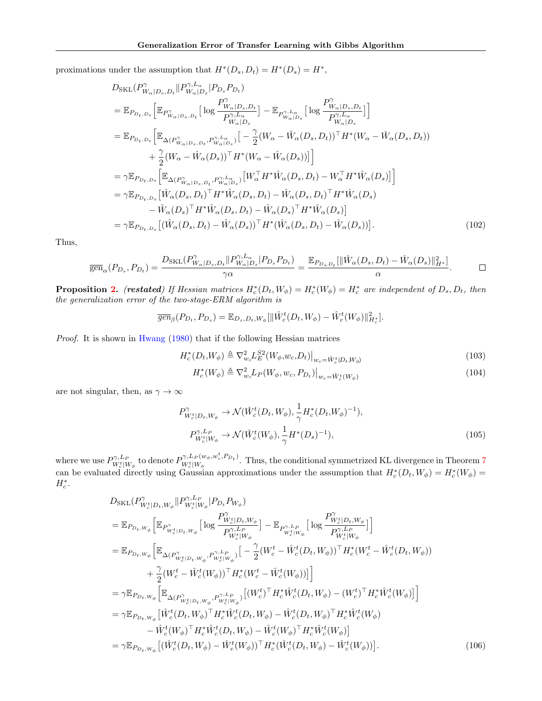proximations under the assumption that  $H^*(D_s, D_t) = H^*(D_s) = H^*,$ 

$$
D_{\text{SKL}}(P_{W_{\alpha}|D_{s},D_{t}}^{\gamma}||P_{W_{\alpha}|D_{s}}^{\gamma,L_{\alpha}}|P_{D_{s}}P_{D_{t}})
$$
\n
$$
= \mathbb{E}_{P_{D_{t},D_{s}}}\Big[\mathbb{E}_{P_{W_{\alpha}|D_{s},D_{t}}^{\gamma}}\Big[\log\frac{P_{W_{\alpha}|D_{s},D_{t}}^{\gamma}}{P_{W_{\alpha}|D_{s}}^{\gamma,L_{\alpha}}}\Big] - \mathbb{E}_{P_{W_{\alpha}|D_{s}}^{\gamma,L_{\alpha}}}\Big[\log\frac{P_{W_{\alpha}|D_{s},D_{t}}^{\gamma}}{P_{W_{\alpha}|D_{s}}^{\gamma,L_{\alpha}}}\Big]\Big]
$$
\n
$$
= \mathbb{E}_{P_{D_{t},D_{s}}}\Big[\mathbb{E}_{\Delta(P_{W_{\alpha}|D_{s},D_{t}}^{\gamma},P_{W_{\alpha}|D_{s}}^{\gamma,L_{\alpha}})}\Big[-\frac{\gamma}{2}(W_{\alpha}-\hat{W}_{\alpha}(D_{s},D_{t}))^{\top}H^{*}(W_{\alpha}-\hat{W}_{\alpha}(D_{s},D_{t}))
$$
\n
$$
+\frac{\gamma}{2}(W_{\alpha}-\hat{W}_{\alpha}(D_{s}))^{\top}H^{*}(W_{\alpha}-\hat{W}_{\alpha}(D_{s}))\Big]\Big]
$$
\n
$$
= \gamma \mathbb{E}_{P_{D_{t},D_{s}}}\Big[\mathbb{E}_{\Delta(P_{W_{\alpha}|D_{s},D_{t}},P_{W_{\alpha}|D_{s}}^{\gamma,L_{\alpha}})}[W_{\alpha}^{\top}H^{*}\hat{W}_{\alpha}(D_{s},D_{t})-W_{\alpha}^{\top}H^{*}\hat{W}_{\alpha}(D_{s})]\Big]
$$
\n
$$
= \gamma \mathbb{E}_{P_{D_{t},D_{s}}}\Big[\hat{W}_{\alpha}(D_{s},D_{t})^{\top}H^{*}\hat{W}_{\alpha}(D_{s},D_{t})-\hat{W}_{\alpha}(D_{s},D_{t})^{\top}H^{*}\hat{W}_{\alpha}(D_{s})
$$
\n
$$
-\hat{W}_{\alpha}(D_{s})^{\top}H^{*}\hat{W}_{\alpha}(D_{s},D_{t})-\hat{W}_{\alpha}(D_{s})^{\top}H^{*}\hat{W}_{\alpha}(D_{s})\Big]
$$
\n $$ 

Thus,

$$
\overline{\text{gen}}_{\alpha}(P_{D_s}, P_{D_t}) = \frac{D_{\text{SKL}}(P_{W_{\alpha}|D_s, D_t}^{\gamma} \| P_{W_{\alpha}|D_s}^{\gamma, L_{\alpha}} | P_{D_s} P_{D_t})}{\gamma \alpha} = \frac{\mathbb{E}_{P_{D_s, D_t}}[\|\hat{W}_{\alpha}(D_s, D_t) - \hat{W}_{\alpha}(D_s)\|_{H^*}^2]}{\alpha}.
$$

**Proposition [2.](#page-7-0)** (restated) If Hessian matrices  $H_c^*(D_t, W_{\phi}) = H_c^*(W_{\phi}) = H_c^*$  are independent of  $D_s, D_t$ , then the generalization error of the two-stage-ERM algorithm is

$$
\overline{gen}_{\beta}(P_{D_t}, P_{D_s}) = \mathbb{E}_{D_s, D_t, W_{\phi}} [\|\hat{W}_c^t(D_t, W_{\phi}) - \hat{W}_c^t(W_{\phi})\|_{H_c^*}^2].
$$

Proof. It is shown in [Hwang](#page-9-18) [\(1980\)](#page-9-18) that if the following Hessian matrices

$$
H_c^*(D_t, W_{\phi}) \triangleq \nabla_{w_c}^2 L_E^{S2}(W_{\phi}, w_c, D_t)|_{w_c = \hat{W}_c^t(D_t, W_{\phi})}
$$
(103)

$$
H_c^*(W_\phi) \triangleq \nabla_{w_c}^2 L_P(W_\phi, w_c, P_{D_t})\big|_{w_c = \hat{W}_c^t(W_\phi)}
$$
\n
$$
\tag{104}
$$

are not singular, then, as  $\gamma \to \infty$ 

$$
P_{W_c^t|D_t, W_\phi}^{\gamma} \to \mathcal{N}(\hat{W}_c^t(D_t, W_\phi), \frac{1}{\gamma} H_c^*(D_t, W_\phi)^{-1}),
$$
  
\n
$$
P_{W_c^t|W_\phi}^{\gamma, L_P} \to \mathcal{N}(\hat{W}_c^t(W_\phi), \frac{1}{\gamma} H^*(D_s)^{-1}),
$$
\n(105)

where we use  $P^{\gamma, L_P}_{W_c^t | W_\phi}$  to denote  $P^{\gamma, L_P(w_\phi, w_c^t, P_{D_t})}_{W_c^t | W_\phi}$  $W_c^{\mu}W_c^{\mu}$ ,  $w_c$ ,  $w_c$ ,  $v_c$ ,  $v_c$ ,  $v_c$ , the conditional symmetrized KL divergence in Theorem [7](#page-6-3) can be evaluated directly using Gaussian approximations under the assumption that  $H_c^*(D_t, W_{\phi}) = H_c^*(W_{\phi}) =$  $H_c^*$ .

$$
D_{\text{SKL}}(P_{W_c^t|D_t,W_{\phi}}^{\gamma, L_P} || P_{W_c^t|W_{\phi}}^{\gamma, L_P} | P_{D_t} P_{W_{\phi}})
$$
\n
$$
= \mathbb{E}_{P_{D_t,W_{\phi}}} \Big[ \mathbb{E}_{P_{W_c^t|D_t,W_{\phi}}^{\gamma}} \Big[ \log \frac{P_{W_c^t|D_t,W_{\phi}}^{\gamma}}{P_{W_c^t|W_{\phi}}^{\gamma, L_P}} \Big] - \mathbb{E}_{P_{W_c^t|W_{\phi}}^{\gamma, L_P}} \Big[ \log \frac{P_{W_c^t|D_t,W_{\phi}}^{\gamma}}{P_{W_c^t|W_{\phi}}^{\gamma, L_P}} \Big] \Big]
$$
\n
$$
= \mathbb{E}_{P_{D_t,W_{\phi}}} \Big[ \mathbb{E}_{\Delta(P_{W_c^t|D_t,W_{\phi}}^{\gamma}, P_{W_c^t|W_{\phi}}^{\gamma, L_P})} \Big[ - \frac{\gamma}{2} (W_c^t - \hat{W}_c^t(D_t, W_{\phi}))^\top H_c^*(W_c^t - \hat{W}_c^t(D_t, W_{\phi}))
$$
\n
$$
+ \frac{\gamma}{2} (W_c^t - \hat{W}_c^t(W_{\phi}))^\top H_c^*(W_c^t - \hat{W}_c^t(W_{\phi})) \Big] \Big]
$$
\n
$$
= \gamma \mathbb{E}_{P_{D_t,W_{\phi}}} \Big[ \mathbb{E}_{\Delta(P_{W_c^t|D_t,W_{\phi}}^{\gamma}, P_{W_c^t|W_{\phi}}^{\gamma, L_P})} \Big[ (W_c^t)^\top H_c^* \hat{W}_c^t(D_t, W_{\phi}) - (W_c^t)^\top H_c^* \hat{W}_c^t(W_{\phi}) \Big] \Big]
$$
\n
$$
= \gamma \mathbb{E}_{P_{D_t,W_{\phi}}} \Big[ \hat{W}_c^t(D_t, W_{\phi})^\top H_c^* \hat{W}_c^t(D_t, W_{\phi}) - \hat{W}_c^t(U_{\phi})^\top H_c^* \hat{W}_c^t(W_{\phi}) \Big]
$$
\n
$$
= \gamma \mathbb{E}_{P_{D_t,W_{\phi}}} \Big[ (\hat{W}_c^t(D_t, W_{\phi}) - \hat{W}_c^t(W_{\phi})^\top H_c^* \hat{W}_c
$$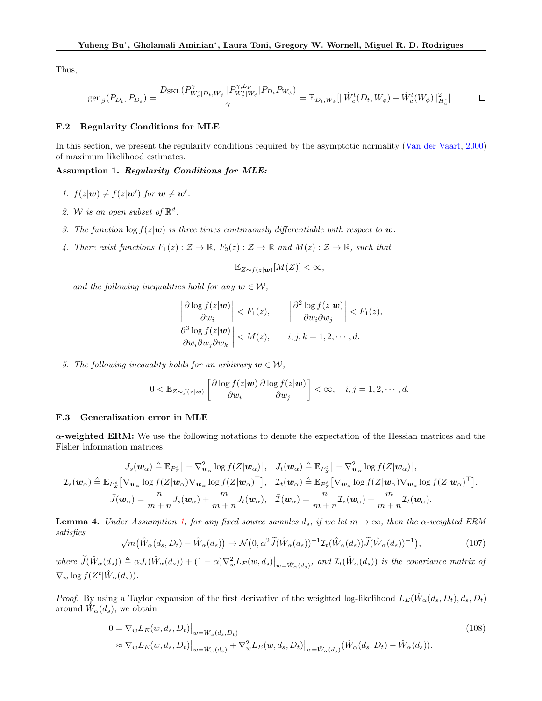Thus,

$$
\overline{\text{gen}}_{\beta}(P_{D_t}, P_{D_s}) = \frac{D_{\text{SKL}}(P_{W_c^t|D_t, W_{\phi}}^{\gamma} \| P_{W_c^t|W_{\phi}}^{\gamma, L_P} | P_{D_t} P_{W_{\phi}})}{\gamma} = \mathbb{E}_{D_t, W_{\phi}} [\|\hat{W}_c^t(D_t, W_{\phi}) - \hat{W}_c^t(W_{\phi})\|_{H_c^*}^2]. \tag{1}
$$

#### <span id="page-22-0"></span>F.2 Regularity Conditions for MLE

In this section, we present the regularity conditions required by the asymptotic normality [\(Van der Vaart](#page-10-17), [2000](#page-10-17)) of maximum likelihood estimates.

#### <span id="page-22-2"></span>Assumption 1. Regularity Conditions for MLE:

- 1.  $f(z|\mathbf{w}) \neq f(z|\mathbf{w}')$  for  $\mathbf{w} \neq \mathbf{w}'$ .
- 2. W is an open subset of  $\mathbb{R}^d$ .
- 3. The function  $\log f(z|\mathbf{w})$  is three times continuously differentiable with respect to  $\mathbf{w}$ .
- 4. There exist functions  $F_1(z): \mathcal{Z} \to \mathbb{R}$ ,  $F_2(z): \mathcal{Z} \to \mathbb{R}$  and  $M(z): \mathcal{Z} \to \mathbb{R}$ , such that

$$
\mathbb{E}_{Z\sim f(z|\boldsymbol{w})}[M(Z)] < \infty,
$$

and the following inequalities hold for any  $w \in \mathcal{W}$ ,

$$
\left| \frac{\partial \log f(z|\mathbf{w})}{\partial w_i} \right| < F_1(z), \qquad \left| \frac{\partial^2 \log f(z|\mathbf{w})}{\partial w_i \partial w_j} \right| < F_1(z),
$$
\n
$$
\left| \frac{\partial^3 \log f(z|\mathbf{w})}{\partial w_i \partial w_j \partial w_k} \right| < M(z), \qquad i, j, k = 1, 2, \cdots, d.
$$

5. The following inequality holds for an arbitrary  $w \in \mathcal{W}$ ,

$$
0 < \mathbb{E}_{Z \sim f(z|\boldsymbol{w})} \left[ \frac{\partial \log f(z|\boldsymbol{w})}{\partial w_i} \frac{\partial \log f(z|\boldsymbol{w})}{\partial w_j} \right] < \infty, \quad i, j = 1, 2, \cdots, d.
$$

#### <span id="page-22-1"></span>F.3 Generalization error in MLE

 $\alpha$ -weighted ERM: We use the following notations to denote the expectation of the Hessian matrices and the Fisher information matrices,

$$
J_s(\boldsymbol{w}_{\alpha}) \triangleq \mathbb{E}_{P_Z^s} \big[ -\nabla^2_{\boldsymbol{w}_{\alpha}} \log f(Z|\boldsymbol{w}_{\alpha}) \big], \quad J_t(\boldsymbol{w}_{\alpha}) \triangleq \mathbb{E}_{P_Z^t} \big[ -\nabla^2_{\boldsymbol{w}_{\alpha}} \log f(Z|\boldsymbol{w}_{\alpha}) \big],
$$
  

$$
\mathcal{I}_s(\boldsymbol{w}_{\alpha}) \triangleq \mathbb{E}_{P_Z^s} \big[ \nabla_{\boldsymbol{w}_{\alpha}} \log f(Z|\boldsymbol{w}_{\alpha}) \nabla_{\boldsymbol{w}_{\alpha}} \log f(Z|\boldsymbol{w}_{\alpha})^\top \big], \quad \mathcal{I}_t(\boldsymbol{w}_{\alpha}) \triangleq \mathbb{E}_{P_Z^t} \big[ \nabla_{\boldsymbol{w}_{\alpha}} \log f(Z|\boldsymbol{w}_{\alpha}) \nabla_{\boldsymbol{w}_{\alpha}} \log f(Z|\boldsymbol{w}_{\alpha})^\top \big],
$$
  

$$
\bar{J}(\boldsymbol{w}_{\alpha}) = \frac{n}{m+n} J_s(\boldsymbol{w}_{\alpha}) + \frac{m}{m+n} J_t(\boldsymbol{w}_{\alpha}), \quad \bar{J}(\boldsymbol{w}_{\alpha}) = \frac{n}{m+n} \mathcal{I}_s(\boldsymbol{w}_{\alpha}) + \frac{m}{m+n} \mathcal{I}_t(\boldsymbol{w}_{\alpha}).
$$

<span id="page-22-3"></span>**Lemma 4.** Under Assumption [1,](#page-22-2) for any fixed source samples  $d_s$ , if we let  $m \to \infty$ , then the  $\alpha$ -weighted ERM satisfies

$$
\sqrt{m}(\hat{W}_{\alpha}(d_s, D_t) - \hat{W}_{\alpha}(d_s)) \rightarrow \mathcal{N}(0, \alpha^2 \tilde{J}(\hat{W}_{\alpha}(d_s))^{-1} \mathcal{I}_t(\hat{W}_{\alpha}(d_s)) \tilde{J}(\hat{W}_{\alpha}(d_s))^{-1}), \tag{107}
$$

where  $\tilde{J}(\hat{W}_{\alpha}(d_s)) \triangleq \alpha J_t(\hat{W}_{\alpha}(d_s)) + (1-\alpha)\nabla_w^2 L_E(w,d_s)|_{w=\hat{W}_{\alpha}(d_s)},$  and  $\mathcal{I}_t(\hat{W}_{\alpha}(d_s))$  is the covariance matrix of  $\nabla_w \log f(Z^t | \hat{W}_\alpha(d_s)).$ 

*Proof.* By using a Taylor expansion of the first derivative of the weighted log-likelihood  $L_E(\hat{W}_\alpha(d_s, D_t), d_s, D_t)$ around  $\hat{W}_\alpha(d_s)$ , we obtain

$$
0 = \nabla_w L_E(w, d_s, D_t)|_{w = \hat{W}_\alpha(d_s, D_t)}
$$
  
\n
$$
\approx \nabla_w L_E(w, d_s, D_t)|_{w = \hat{W}_\alpha(d_s)} + \nabla_w^2 L_E(w, d_s, D_t)|_{w = \hat{W}_\alpha(d_s)} (\hat{W}_\alpha(d_s, D_t) - \hat{W}_\alpha(d_s)).
$$
\n(108)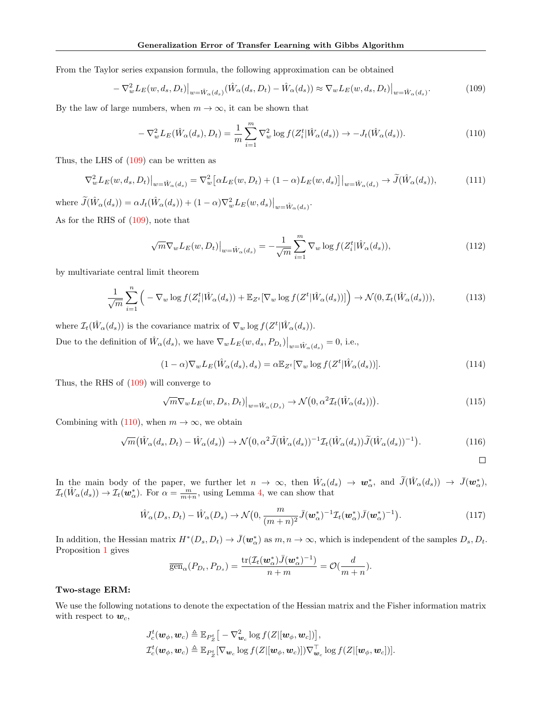From the Taylor series expansion formula, the following approximation can be obtained

<span id="page-23-0"></span>
$$
-\nabla_w^2 L_E(w, d_s, D_t)|_{w=\hat{W}_\alpha(d_s)} (\hat{W}_\alpha(d_s, D_t) - \hat{W}_\alpha(d_s)) \approx \nabla_w L_E(w, d_s, D_t)|_{w=\hat{W}_\alpha(d_s)}.
$$
\n(109)

By the law of large numbers, when  $m \to \infty$ , it can be shown that

<span id="page-23-1"></span>
$$
-\nabla_w^2 L_E(\hat{W}_\alpha(d_s), D_t) = \frac{1}{m} \sum_{i=1}^m \nabla_w^2 \log f(Z_i^t | \hat{W}_\alpha(d_s)) \to -J_t(\hat{W}_\alpha(d_s)).
$$
\n(110)

Thus, the LHS of [\(109\)](#page-23-0) can be written as

$$
\nabla_w^2 L_E(w, d_s, D_t)|_{w = \hat{W}_\alpha(d_s)} = \nabla_w^2 \big[ \alpha L_E(w, D_t) + (1 - \alpha) L_E(w, d_s) \big] \big|_{w = \hat{W}_\alpha(d_s)} \to \tilde{J}(\hat{W}_\alpha(d_s)),\tag{111}
$$

where  $\widetilde{J}(\hat{W}_\alpha(d_s)) = \alpha J_t(\hat{W}_\alpha(d_s)) + (1 - \alpha) \nabla_w^2 L_E(w, d_s) \big|_{w = \hat{W}_\alpha(d_s)}$ .

As for the RHS of [\(109\)](#page-23-0), note that

$$
\sqrt{m}\nabla_w L_E(w, D_t)\big|_{w=\hat{W}_\alpha(d_s)} = -\frac{1}{\sqrt{m}}\sum_{i=1}^m \nabla_w \log f(Z_i^t|\hat{W}_\alpha(d_s)),\tag{112}
$$

by multivariate central limit theorem

$$
\frac{1}{\sqrt{m}}\sum_{i=1}^{n}\left(-\nabla_{w}\log f(Z_{i}^{t}|\hat{W}_{\alpha}(d_{s})) + \mathbb{E}_{Z^{t}}[\nabla_{w}\log f(Z^{t}|\hat{W}_{\alpha}(d_{s}))]\right) \to \mathcal{N}(0,\mathcal{I}_{t}(\hat{W}_{\alpha}(d_{s}))),\tag{113}
$$

where  $\mathcal{I}_t(\hat{W}_\alpha(d_s))$  is the covariance matrix of  $\nabla_w \log f(Z^t | \hat{W}_\alpha(d_s)).$ 

Due to the definition of  $\hat{W}_\alpha(d_s)$ , we have  $\nabla_w L_E(w, d_s, P_{D_t})\big|_{w=\hat{W}_\alpha(d_s)} = 0$ , i.e.,

$$
(1 - \alpha)\nabla_w L_E(\hat{W}_\alpha(d_s), d_s) = \alpha \mathbb{E}_{Z^t}[\nabla_w \log f(Z^t | \hat{W}_\alpha(d_s))]. \tag{114}
$$

Thus, the RHS of [\(109\)](#page-23-0) will converge to

$$
\sqrt{m} \nabla_{w} L_{E}(w, D_{s}, D_{t})\big|_{w=\hat{W}_{\alpha}(D_{s})} \to \mathcal{N}\big(0, \alpha^{2} \mathcal{I}_{t}(\hat{W}_{\alpha}(d_{s}))\big). \tag{115}
$$

Combining with [\(110\)](#page-23-1), when  $m \to \infty$ , we obtain

$$
\sqrt{m}(\hat{W}_{\alpha}(d_s, D_t) - \hat{W}_{\alpha}(d_s)) \rightarrow \mathcal{N}(0, \alpha^2 \tilde{J}(\hat{W}_{\alpha}(d_s)))^{-1} \mathcal{I}_t(\hat{W}_{\alpha}(d_s)) \tilde{J}(\hat{W}_{\alpha}(d_s))^{-1}). \tag{116}
$$

 $\Box$ 

In the main body of the paper, we further let  $n \to \infty$ , then  $\hat{W}_{\alpha}(d_s) \to \mathbf{w}_{\alpha}^*$ , and  $\tilde{J}(\hat{W}_{\alpha}(d_s)) \to \bar{J}(\mathbf{w}_{\alpha}^*),$  $\mathcal{I}_t(\hat{W}_\alpha(d_s)) \to \mathcal{I}_t(\boldsymbol{w}_\alpha^*)$ . For  $\alpha = \frac{m}{m+n}$ , using Lemma [4,](#page-22-3) we can show that

$$
\hat{W}_{\alpha}(D_s, D_t) - \hat{W}_{\alpha}(D_s) \rightarrow \mathcal{N}\big(0, \frac{m}{(m+n)^2}\bar{J}(\boldsymbol{w}_{\alpha}^*)^{-1}\mathcal{I}_t(\boldsymbol{w}_{\alpha}^*)\bar{J}(\boldsymbol{w}_{\alpha}^*)^{-1}\big). \tag{117}
$$

In addition, the Hessian matrix  $H^*(D_s, D_t) \to \bar{J}(w^*_{\alpha})$  as  $m, n \to \infty$ , which is independent of the samples  $D_s, D_t$ . Proposition [1](#page-6-2) gives

$$
\overline{\text{gen}}_{\alpha}(P_{D_t}, P_{D_s}) = \frac{\text{tr}(\mathcal{I}_t(\boldsymbol{w}_\alpha^*)\bar{J}(\boldsymbol{w}_\alpha^*)^{-1})}{n+m} = \mathcal{O}(\frac{d}{m+n}).
$$

#### Two-stage ERM:

We use the following notations to denote the expectation of the Hessian matrix and the Fisher information matrix with respect to  $w_c$ ,

$$
\begin{aligned} &J_{c}^{t}(\boldsymbol{w}_{\phi},\boldsymbol{w}_{c})\triangleq\mathbb{E}_{P_{Z}^{t}}\big[-\nabla_{\boldsymbol{w}_{c}}^{2}\log f(Z|[\boldsymbol{w}_{\phi},\boldsymbol{w}_{c}])\big], \\ &\mathcal{I}_{c}^{t}(\boldsymbol{w}_{\phi},\boldsymbol{w}_{c})\triangleq\mathbb{E}_{P_{Z}^{t}}[\nabla_{\boldsymbol{w}_{c}}\log f(Z|[\boldsymbol{w}_{\phi},\boldsymbol{w}_{c}])]\nabla_{\boldsymbol{w}_{c}}^{\top}\log f(Z|[\boldsymbol{w}_{\phi},\boldsymbol{w}_{c}])]. \end{aligned}
$$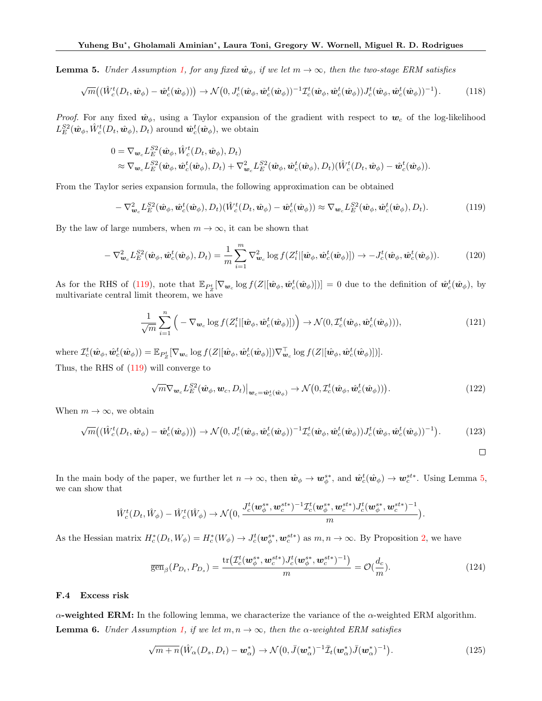<span id="page-24-2"></span>**Lemma 5.** Under Assumption [1,](#page-22-2) for any fixed  $\hat{w}_\phi$ , if we let  $m \to \infty$ , then the two-stage ERM satisfies

$$
\sqrt{m}\big((\hat{W}_c^t(D_t, \hat{\boldsymbol{w}}_{\phi}) - \hat{\boldsymbol{w}}_c^t(\hat{\boldsymbol{w}}_{\phi}))\big) \rightarrow \mathcal{N}\big(0, J_c^t(\hat{\boldsymbol{w}}_{\phi}, \hat{\boldsymbol{w}}_c^t(\hat{\boldsymbol{w}}_{\phi}))^{-1} \mathcal{I}_c^t(\hat{\boldsymbol{w}}_{\phi}, \hat{\boldsymbol{w}}_c^t(\hat{\boldsymbol{w}}_{\phi})) J_c^t(\hat{\boldsymbol{w}}_{\phi}, \hat{\boldsymbol{w}}_c^t(\hat{\boldsymbol{w}}_{\phi}))^{-1}\big).
$$
(118)

*Proof.* For any fixed  $\hat{w}_{\phi}$ , using a Taylor expansion of the gradient with respect to  $w_c$  of the log-likelihood  $L_E^{S2}(\hat{\bm{w}}_{\phi}, \hat{W}_c^t(D_t, \hat{\bm{w}}_{\phi}), D_t)$  around  $\hat{\bm{w}}_c^t(\hat{\bm{w}}_{\phi}),$  we obtain

$$
0 = \nabla_{\mathbf{w}_c} L_E^{S2}(\hat{\mathbf{w}}_{\phi}, \hat{W}_c^t(D_t, \hat{\mathbf{w}}_{\phi}), D_t) \n\approx \nabla_{\mathbf{w}_c} L_E^{S2}(\hat{\mathbf{w}}_{\phi}, \hat{\mathbf{w}}_c^t(\hat{\mathbf{w}}_{\phi}), D_t) + \nabla_{\mathbf{w}_c}^2 L_E^{S2}(\hat{\mathbf{w}}_{\phi}, \hat{\mathbf{w}}_c^t(\hat{\mathbf{w}}_{\phi}), D_t) (\hat{W}_c^t(D_t, \hat{\mathbf{w}}_{\phi}) - \hat{\mathbf{w}}_c^t(\hat{\mathbf{w}}_{\phi})).
$$

From the Taylor series expansion formula, the following approximation can be obtained

<span id="page-24-1"></span>
$$
-\nabla_{\boldsymbol{w}_c}^2 L_E^{S2}(\hat{\boldsymbol{w}}_{\phi}, \hat{\boldsymbol{w}}_c^t(\hat{\boldsymbol{w}}_{\phi}), D_t) (\hat{W}_c^t(D_t, \hat{\boldsymbol{w}}_{\phi}) - \hat{\boldsymbol{w}}_c^t(\hat{\boldsymbol{w}}_{\phi})) \approx \nabla_{\boldsymbol{w}_c} L_E^{S2}(\hat{\boldsymbol{w}}_{\phi}, \hat{\boldsymbol{w}}_c^t(\hat{\boldsymbol{w}}_{\phi}), D_t).
$$
(119)

By the law of large numbers, when  $m \to \infty$ , it can be shown that

$$
-\nabla_{\boldsymbol{w}_c}^2 L_E^{S2}(\hat{\boldsymbol{w}}_{\phi}, \hat{\boldsymbol{w}}_c^t(\hat{\boldsymbol{w}}_{\phi}), D_t) = \frac{1}{m} \sum_{i=1}^m \nabla_{\boldsymbol{w}_c}^2 \log f(Z_i^t | [\hat{\boldsymbol{w}}_{\phi}, \hat{\boldsymbol{w}}_c^t(\hat{\boldsymbol{w}}_{\phi})]) \to -J_c^t(\hat{\boldsymbol{w}}_{\phi}, \hat{\boldsymbol{w}}_c^t(\hat{\boldsymbol{w}}_{\phi})).
$$
 (120)

As for the RHS of [\(119\)](#page-24-1), note that  $\mathbb{E}_{P_Z^t}[\nabla_{\boldsymbol{w}_c} \log f(Z|[\hat{\boldsymbol{w}}_{\phi}, \hat{\boldsymbol{w}}_c^t(\hat{\boldsymbol{w}}_{\phi})])] = 0$  due to the definition of  $\hat{\boldsymbol{w}}_c^t(\hat{\boldsymbol{w}}_{\phi})$ , by multivariate central limit theorem, we have

$$
\frac{1}{\sqrt{m}}\sum_{i=1}^{n}\left(-\nabla_{\boldsymbol{w}_{c}}\log f(Z_{i}^{t}[[\hat{\boldsymbol{w}}_{\phi},\hat{\boldsymbol{w}}_{c}^{t}(\hat{\boldsymbol{w}}_{\phi})])\right) \to \mathcal{N}(0,\mathcal{I}_{c}^{t}(\hat{\boldsymbol{w}}_{\phi},\hat{\boldsymbol{w}}_{c}^{t}(\hat{\boldsymbol{w}}_{\phi}))), \tag{121}
$$

where  $\mathcal{I}_c^t(\hat{\boldsymbol{w}}_{\phi}, \hat{\boldsymbol{w}}_c^t(\hat{\boldsymbol{w}}_{\phi})) = \mathbb{E}_{P_Z^t}[\nabla_{\boldsymbol{w}_c} \log f(Z|[\hat{\boldsymbol{w}}_{\phi}, \hat{\boldsymbol{w}}_c^t(\hat{\boldsymbol{w}}_{\phi})]) \nabla_{\boldsymbol{w}_c}^{\top} \log f(Z|[\hat{\boldsymbol{w}}_{\phi}, \hat{\boldsymbol{w}}_c^t(\hat{\boldsymbol{w}}_{\phi})])].$ Thus, the RHS of [\(119\)](#page-24-1) will converge to

$$
\sqrt{m}\nabla_{\boldsymbol{w}_c} L_E^{S2}(\hat{\boldsymbol{w}}_{\phi}, \boldsymbol{w}_c, D_t)|_{\boldsymbol{w}_c = \hat{\boldsymbol{w}}_c^t(\hat{\boldsymbol{w}}_{\phi})} \to \mathcal{N}\big(0, \mathcal{I}_c^t(\hat{\boldsymbol{w}}_{\phi}, \hat{\boldsymbol{w}}_c^t(\hat{\boldsymbol{w}}_{\phi}))\big). \tag{122}
$$

When  $m \to \infty$ , we obtain

$$
\sqrt{m}\big((\hat{W}_c^t(D_t, \hat{\boldsymbol{w}}_{\phi}) - \hat{\boldsymbol{w}}_c^t(\hat{\boldsymbol{w}}_{\phi}))\big) \rightarrow \mathcal{N}\big(0, J_c^t(\hat{\boldsymbol{w}}_{\phi}, \hat{\boldsymbol{w}}_c^t(\hat{\boldsymbol{w}}_{\phi}))^{-1} \mathcal{I}_c^t(\hat{\boldsymbol{w}}_{\phi}, \hat{\boldsymbol{w}}_c^t(\hat{\boldsymbol{w}}_{\phi})) J_c^t(\hat{\boldsymbol{w}}_{\phi}, \hat{\boldsymbol{w}}_c^t(\hat{\boldsymbol{w}}_{\phi}))^{-1}\big).
$$
(123)

In the main body of the paper, we further let  $n \to \infty$ , then  $\hat{w}_{\phi} \to w_{\phi}^{s*}$ , and  $\hat{w}_c^t(\hat{w}_{\phi}) \to w_c^{st*}$ . Using Lemma [5,](#page-24-2) we can show that

$$
\hat{W}_{c}^{t}(D_{t},\hat{W}_{\phi}) - \hat{W}_{c}^{t}(\hat{W}_{\phi}) \rightarrow \mathcal{N}\big(0, \frac{J_{c}^{t}(\mathbf{w}_{\phi}^{s*}, \mathbf{w}_{c}^{st*})^{-1} \mathcal{I}_{c}^{t}(\mathbf{w}_{\phi}^{s*}, \mathbf{w}_{c}^{st*}) J_{c}^{t}(\mathbf{w}_{\phi}^{s*}, \mathbf{w}_{c}^{st*})^{-1}}{m}\big).
$$

As the Hessian matrix  $H_c^*(D_t, W_{\phi}) = H_c^*(W_{\phi}) \to J_c^t(\mathbf{w}_{\phi}^{s*}, \mathbf{w}_c^{st*})$  as  $m, n \to \infty$ . By Proposition [2,](#page-7-0) we have

$$
\overline{\text{gen}}_{\beta}(P_{D_t}, P_{D_s}) = \frac{\text{tr}\big(\mathcal{I}_c^t(\boldsymbol{w}_\phi^{s*}, \boldsymbol{w}_c^{st*}) J_c^t(\boldsymbol{w}_\phi^{s*}, \boldsymbol{w}_c^{st*})^{-1}\big)}{m} = \mathcal{O}(\frac{d_c}{m}).\tag{124}
$$

#### <span id="page-24-0"></span>F.4 Excess risk

 $\alpha$ -weighted ERM: In the following lemma, we characterize the variance of the  $\alpha$ -weighted ERM algorithm. **Lemma 6.** Under Assumption [1,](#page-22-2) if we let  $m, n \to \infty$ , then the  $\alpha$ -weighted ERM satisfies

$$
\sqrt{m+n}(\hat{W}_{\alpha}(D_s, D_t) - \boldsymbol{w}_{\alpha}^*) \to \mathcal{N}\big(0, \bar{J}(\boldsymbol{w}_{\alpha}^*)^{-1}\bar{\mathcal{I}}_t(\boldsymbol{w}_{\alpha}^*)\bar{J}(\boldsymbol{w}_{\alpha}^*)^{-1}\big). \tag{125}
$$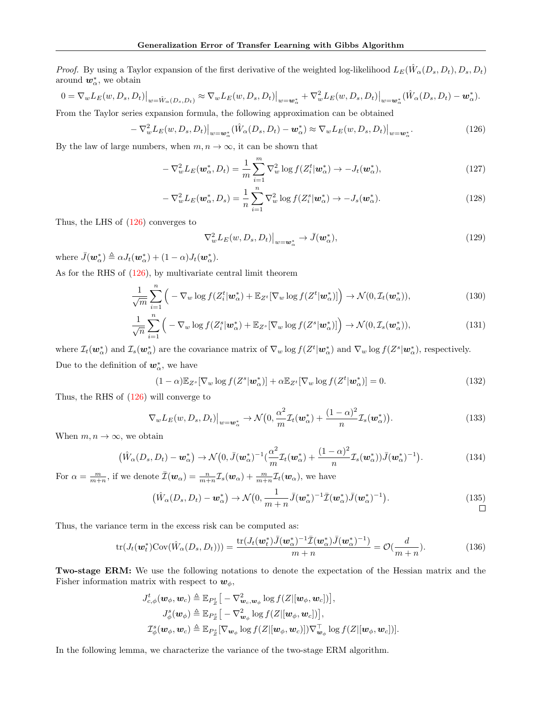*Proof.* By using a Taylor expansion of the first derivative of the weighted log-likelihood  $L_E(\hat{W}_\alpha(D_s, D_t), D_s, D_t)$ around  $w^*_{\alpha}$ , we obtain

$$
0 = \nabla_w L_E(w, D_s, D_t)|_{w = \hat{W}_\alpha(D_s, D_t)} \approx \nabla_w L_E(w, D_s, D_t)|_{w = \mathbf{w}_\alpha^*} + \nabla_w^2 L_E(w, D_s, D_t)|_{w = \mathbf{w}_\alpha^*} (\hat{W}_\alpha(D_s, D_t) - \mathbf{w}_\alpha^*).
$$

From the Taylor series expansion formula, the following approximation can be obtained

<span id="page-25-0"></span>
$$
-\nabla_w^2 L_E(w, D_s, D_t)|_{w=w_\alpha^*} (\hat{W}_\alpha(D_s, D_t) - \mathbf{w}_\alpha^*) \approx \nabla_w L_E(w, D_s, D_t)|_{w=\mathbf{w}_\alpha^*}.
$$
\n(126)

By the law of large numbers, when  $m, n \to \infty$ , it can be shown that

$$
-\nabla_w^2 L_E(\boldsymbol{w}_\alpha^*, D_t) = \frac{1}{m} \sum_{i=1}^m \nabla_w^2 \log f(Z_i^t | \boldsymbol{w}_\alpha^*) \to -J_t(\boldsymbol{w}_\alpha^*), \tag{127}
$$

$$
-\nabla_w^2 L_E(\boldsymbol{w}_\alpha^*, D_s) = \frac{1}{n} \sum_{i=1}^n \nabla_w^2 \log f(Z_i^s | \boldsymbol{w}_\alpha^*) \to -J_s(\boldsymbol{w}_\alpha^*).
$$
 (128)

Thus, the LHS of [\(126\)](#page-25-0) converges to

$$
\nabla_w^2 L_E(w, D_s, D_t)|_{w = \mathbf{w}^*_{\alpha}} \to \bar{J}(\mathbf{w}^*_{\alpha}), \qquad (129)
$$

where  $\bar{J}(\boldsymbol{w}_{\alpha}^*) \triangleq \alpha J_t(\boldsymbol{w}_{\alpha}^*) + (1 - \alpha)J_t(\boldsymbol{w}_{\alpha}^*)$ .

As for the RHS of [\(126\)](#page-25-0), by multivariate central limit theorem

$$
\frac{1}{\sqrt{m}}\sum_{i=1}^{n}\left(-\nabla_{w}\log f(Z_{i}^{t}|\boldsymbol{w}_{\alpha}^{*})+\mathbb{E}_{Z^{t}}[\nabla_{w}\log f(Z^{t}|\boldsymbol{w}_{\alpha}^{*})]\right)+\mathcal{N}(0,\mathcal{I}_{t}(\boldsymbol{w}_{\alpha}^{*})),\tag{130}
$$

$$
\frac{1}{\sqrt{n}}\sum_{i=1}^{n}\left(-\nabla_{w}\log f(Z_{i}^{s}|\boldsymbol{w}_{\alpha}^{*})+\mathbb{E}_{Z^{s}}[\nabla_{w}\log f(Z^{s}|\boldsymbol{w}_{\alpha}^{*})]\right)+\mathcal{N}(0,\mathcal{I}_{s}(\boldsymbol{w}_{\alpha}^{*})),\tag{131}
$$

where  $\mathcal{I}_t(\mathbf{w}_\alpha^*)$  and  $\mathcal{I}_s(\mathbf{w}_\alpha^*)$  are the covariance matrix of  $\nabla_w \log f(Z^t | \mathbf{w}_\alpha^*)$  and  $\nabla_w \log f(Z^s | \mathbf{w}_\alpha^*)$ , respectively. Due to the definition of  $w^*_{\alpha}$ , we have

$$
(1 - \alpha) \mathbb{E}_{Z^s} [\nabla_w \log f(Z^s | \boldsymbol{w}_\alpha^*)] + \alpha \mathbb{E}_{Z^t} [\nabla_w \log f(Z^t | \boldsymbol{w}_\alpha^*)] = 0.
$$
\n(132)

Thus, the RHS of [\(126\)](#page-25-0) will converge to

$$
\nabla_{w} L_{E}(w, D_{s}, D_{t})\big|_{w=w_{\alpha}^{*}} \to \mathcal{N}\big(0, \frac{\alpha^{2}}{m} \mathcal{I}_{t}(\boldsymbol{w}_{\alpha}^{*}) + \frac{(1-\alpha)^{2}}{n} \mathcal{I}_{s}(\boldsymbol{w}_{\alpha}^{*})\big).
$$
(133)

When  $m, n \to \infty$ , we obtain

$$
\left(\hat{W}_{\alpha}(D_s, D_t) - \mathbf{w}_{\alpha}^*\right) \rightarrow \mathcal{N}\left(0, \bar{J}(\mathbf{w}_{\alpha}^*)^{-1}\left(\frac{\alpha^2}{m}\mathcal{I}_t(\mathbf{w}_{\alpha}^*) + \frac{(1-\alpha)^2}{n}\mathcal{I}_s(\mathbf{w}_{\alpha}^*)\right)\bar{J}(\mathbf{w}_{\alpha}^*)^{-1}\right). \tag{134}
$$

For  $\alpha = \frac{m}{m+n}$ , if we denote  $\bar{I}(\mathbf{w}_{\alpha}) = \frac{n}{m+n} \mathcal{I}_s(\mathbf{w}_{\alpha}) + \frac{m}{m+n} \mathcal{I}_t(\mathbf{w}_{\alpha})$ , we have

$$
(\hat{W}_{\alpha}(D_s, D_t) - \mathbf{w}_{\alpha}^*) \rightarrow \mathcal{N}(0, \frac{1}{m+n}\bar{J}(\mathbf{w}_{\alpha}^*)^{-1}\bar{\mathcal{I}}(\mathbf{w}_{\alpha}^*)\bar{J}(\mathbf{w}_{\alpha}^*)^{-1}).
$$
\n(135)

Thus, the variance term in the excess risk can be computed as:

$$
\text{tr}(J_t(\boldsymbol{w}_t^*)\text{Cov}(\hat{W}_\alpha(D_s, D_t))) = \frac{\text{tr}(J_t(\boldsymbol{w}_t^*)\bar{J}(\boldsymbol{w}_\alpha^*)^{-1}\bar{\mathcal{I}}(\boldsymbol{w}_\alpha^*)\bar{J}(\boldsymbol{w}_\alpha^*)^{-1})}{m+n} = \mathcal{O}(\frac{d}{m+n}).\tag{136}
$$

Two-stage ERM: We use the following notations to denote the expectation of the Hessian matrix and the Fisher information matrix with respect to  $w_{\phi}$ ,

$$
J_{c,\phi}^t(\boldsymbol{w}_{\phi},\boldsymbol{w}_c) \triangleq \mathbb{E}_{P_Z^t} \big[ -\nabla_{\boldsymbol{w}_c,\boldsymbol{w}_{\phi}}^2 \log f(Z | [\boldsymbol{w}_{\phi},\boldsymbol{w}_c]) \big],
$$
  
\n
$$
J_{\phi}^s(\boldsymbol{w}_{\phi}) \triangleq \mathbb{E}_{P_Z^s} \big[ -\nabla_{\boldsymbol{w}_{\phi}}^2 \log f(Z | [\boldsymbol{w}_{\phi},\boldsymbol{w}_c]) \big],
$$
  
\n
$$
\mathcal{I}_{\phi}^s(\boldsymbol{w}_{\phi},\boldsymbol{w}_c) \triangleq \mathbb{E}_{P_Z^s} [\nabla_{\boldsymbol{w}_{\phi}} \log f(Z | [\boldsymbol{w}_{\phi},\boldsymbol{w}_c]) \nabla_{\boldsymbol{w}_{\phi}}^{\top} \log f(Z | [\boldsymbol{w}_{\phi},\boldsymbol{w}_c])].
$$

In the following lemma, we characterize the variance of the two-stage ERM algorithm.